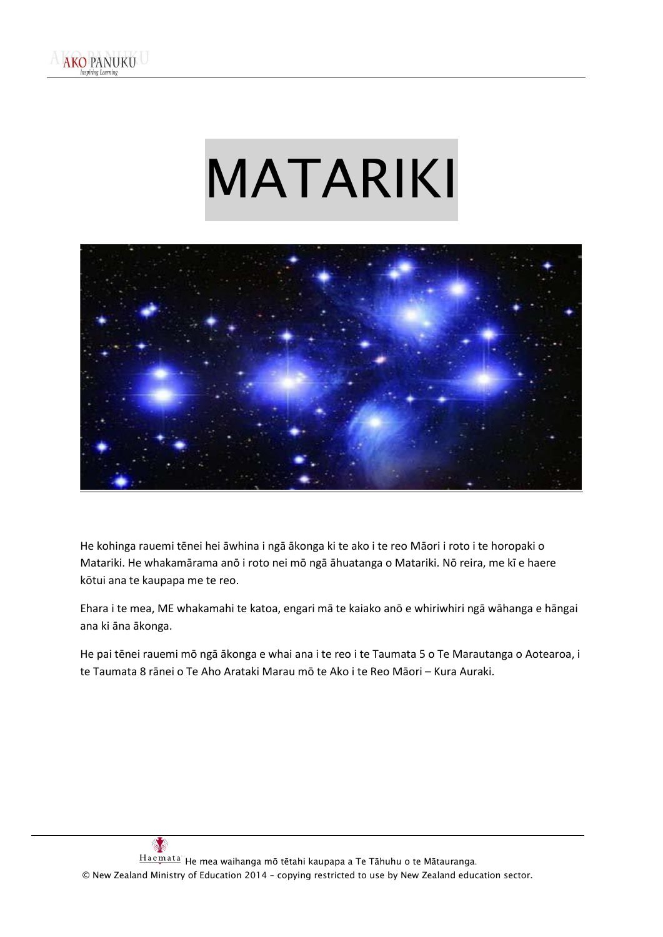# MATARIKI



He kohinga rauemi tēnei hei āwhina i ngā ākonga ki te ako i te reo Māori i roto i te horopaki o Matariki. He whakamārama anō i roto nei mō ngā āhuatanga o Matariki. Nō reira, me kī e haere kōtui ana te kaupapa me te reo.

Ehara i te mea, ME whakamahi te katoa, engari mā te kaiako anō e whiriwhiri ngā wāhanga e hāngai ana ki āna ākonga.

He pai tēnei rauemi mō ngā ākonga e whai ana i te reo i te Taumata 5 o Te Marautanga o Aotearoa, i te Taumata 8 rānei o Te Aho Arataki Marau mō te Ako i te Reo Māori – Kura Auraki.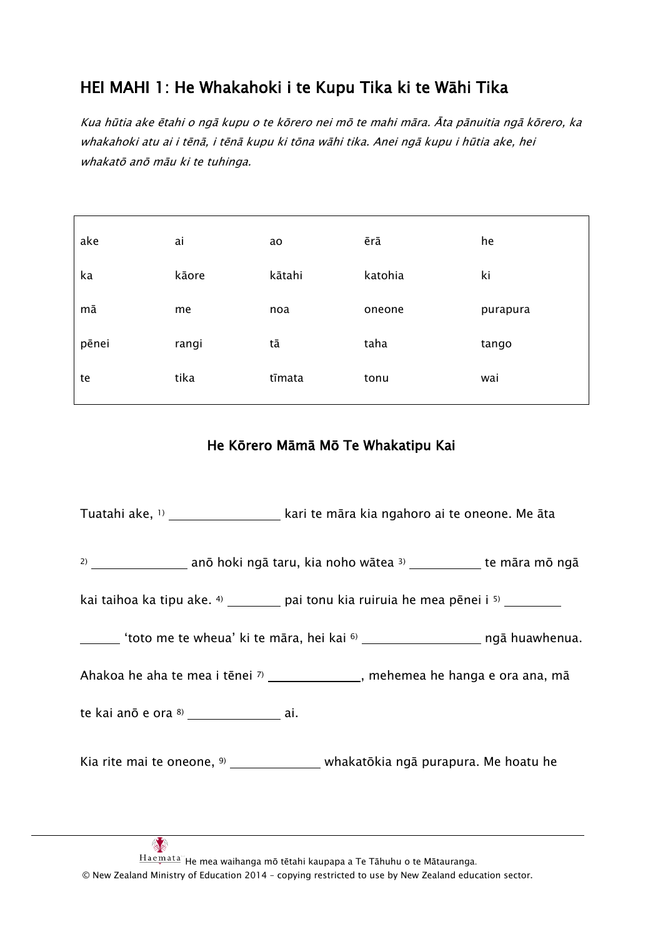# HEI MAHI 1: He Whakahoki i te Kupu Tika ki te Wāhi Tika

Kua hūtia ake ētahi o ngā kupu o te kōrero nei mō te mahi māra. Āta pānuitia ngā kōrero, ka whakahoki atu ai i tēnā, i tēnā kupu ki tōna wāhi tika. Anei ngā kupu i hūtia ake, hei whakatō anō māu ki te tuhinga.

| ake   | ai    | ao     | ērā     | he       |
|-------|-------|--------|---------|----------|
| ka    | kāore | kātahi | katohia | ki       |
| mā    | me    | noa    | oneone  | purapura |
| pēnei | rangi | tā     | taha    | tango    |
| te    | tika  | tīmata | tonu    | wai      |

### He Kōrero Māmā Mō Te Whakatipu Kai

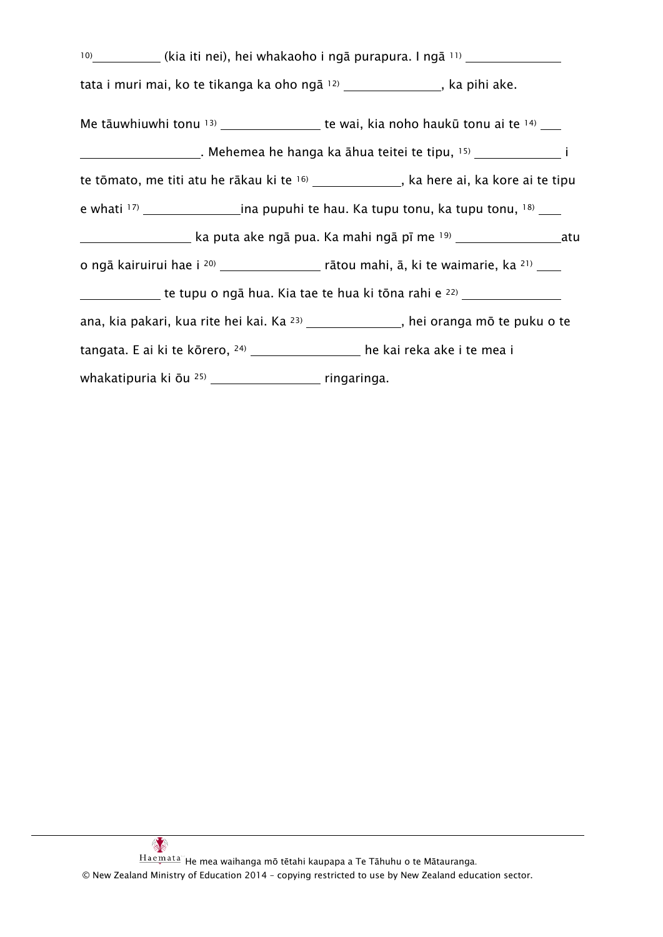|                                                                                         | <sup>10)</sup> (kia iti nei), hei whakaoho i ngā purapura. I ngā <sup>11)</sup> ___________________          |
|-----------------------------------------------------------------------------------------|--------------------------------------------------------------------------------------------------------------|
| tata i muri mai, ko te tikanga ka oho ngā 12) _______________, ka pihi ake.             |                                                                                                              |
|                                                                                         | Me tāuwhiuwhi tonu $13)$ ____________________ te wai, kia noho haukū tonu ai te $14)$ ____                   |
|                                                                                         | _________________________. Mehemea he hanga ka āhua teitei te tipu, 15) __________________________________ i |
|                                                                                         | te tōmato, me titi atu he rākau ki te <sup>16)</sup> ______________, ka here ai, ka kore ai te tipu          |
|                                                                                         |                                                                                                              |
|                                                                                         | ____________________ ka puta ake ngā pua. Ka mahi ngā pī me 19) __________________atu                        |
|                                                                                         |                                                                                                              |
|                                                                                         | te tupu o ngā hua. Kia tae te hua ki tōna rahi e <sup>22)</sup> ___________________________                  |
|                                                                                         | ana, kia pakari, kua rite hei kai. Ka <sup>23)</sup> ______________, hei oranga mō te puku o te              |
| tangata. E ai ki te kōrero, <sup>24)</sup> _________________ he kai reka ake i te mea i |                                                                                                              |
|                                                                                         |                                                                                                              |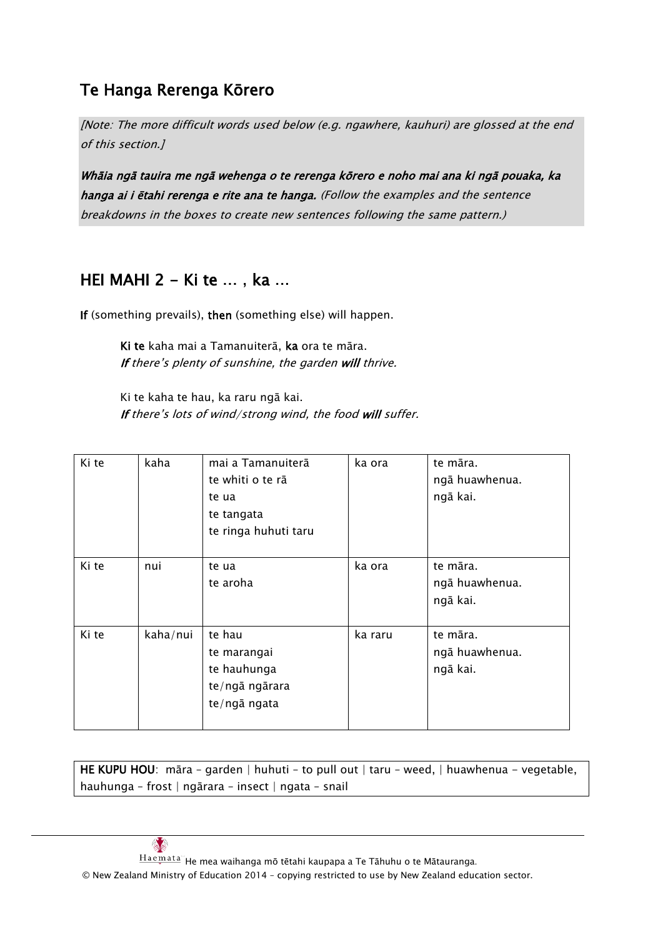# Te Hanga Rerenga Kōrero

[Note: The more difficult words used below (e.g. ngawhere, kauhuri) are glossed at the end of this section.]

Whāia ngā tauira me ngā wehenga o te rerenga kōrero e noho mai ana ki ngā pouaka, ka hanga ai i ētahi rerenga e rite ana te hanga. (Follow the examples and the sentence breakdowns in the boxes to create new sentences following the same pattern.)

# HEI MAHI 2 - Ki te ... , ka ...

If (something prevails), then (something else) will happen.

Ki te kaha mai a Tamanuiterā, ka ora te māra. If there's plenty of sunshine, the garden will thrive.

Ki te kaha te hau, ka raru ngā kai. If there's lots of wind/strong wind, the food will suffer.

| Ki te | kaha     | mai a Tamanuiterā<br>te whiti o te rā<br>te ua<br>te tangata<br>te ringa huhuti taru | ka ora  | te māra.<br>ngā huawhenua.<br>ngā kai. |
|-------|----------|--------------------------------------------------------------------------------------|---------|----------------------------------------|
| Ki te | nui      | te ua<br>te aroha                                                                    | ka ora  | te māra.<br>ngā huawhenua.<br>ngā kai. |
| Ki te | kaha/nui | te hau<br>te marangai<br>te hauhunga<br>te/ngā ngārara<br>te/ngā ngata               | ka raru | te māra.<br>ngā huawhenua.<br>ngā kai. |

HE KUPU HOU: māra - garden | huhuti - to pull out | taru - weed, | huawhenua - vegetable, hauhunga – frost | ngārara – insect | ngata – snail



 $Hae$ mata" He mea waihanga mō tētahi kaupapa a Te Tāhuhu o te Mātauranga.

© New Zealand Ministry of Education 2014 – copying restricted to use by New Zealand education sector.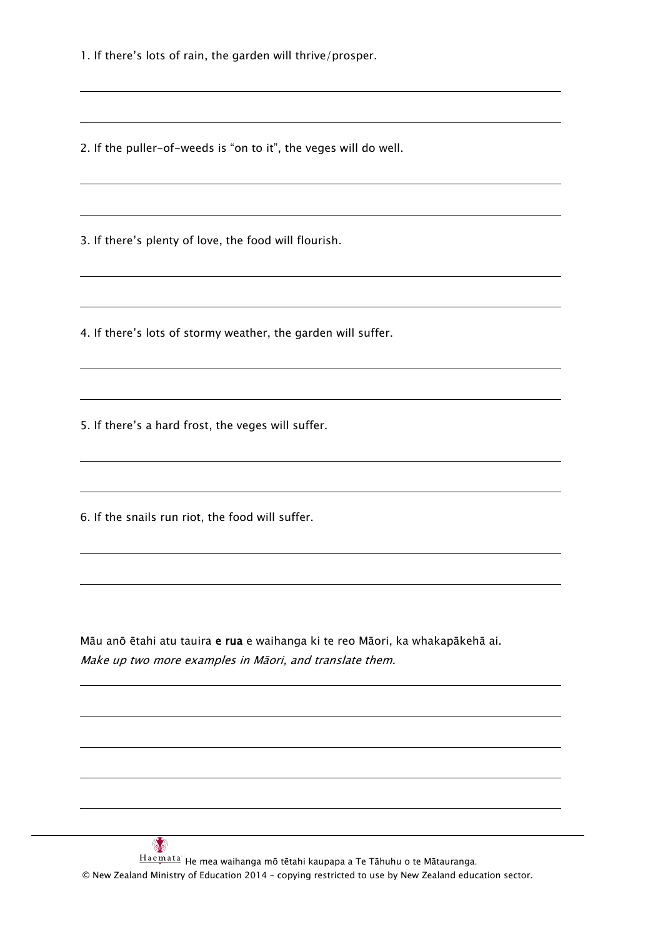1. If there's lots of rain, the garden will thrive/prosper.

2. If the puller-of-weeds is "on to it", the veges will do well.

3. If there's plenty of love, the food will flourish.

4. If there's lots of stormy weather, the garden will suffer.

5. If there's a hard frost, the veges will suffer.

6. If the snails run riot, the food will suffer.

Māu anō ētahi atu tauira e rua e waihanga ki te reo Māori, ka whakapākehā ai. Make up two more examples in Māori, and translate them.

 $\frac{1}{2}$  $\frac{Ha\,em\,ata^m}{A}$ He mea waihanga mō tētahi kaupapa a Te Tāhuhu o te Mātauranga. © New Zealand Ministry of Education 2014 – copying restricted to use by New Zealand education sector.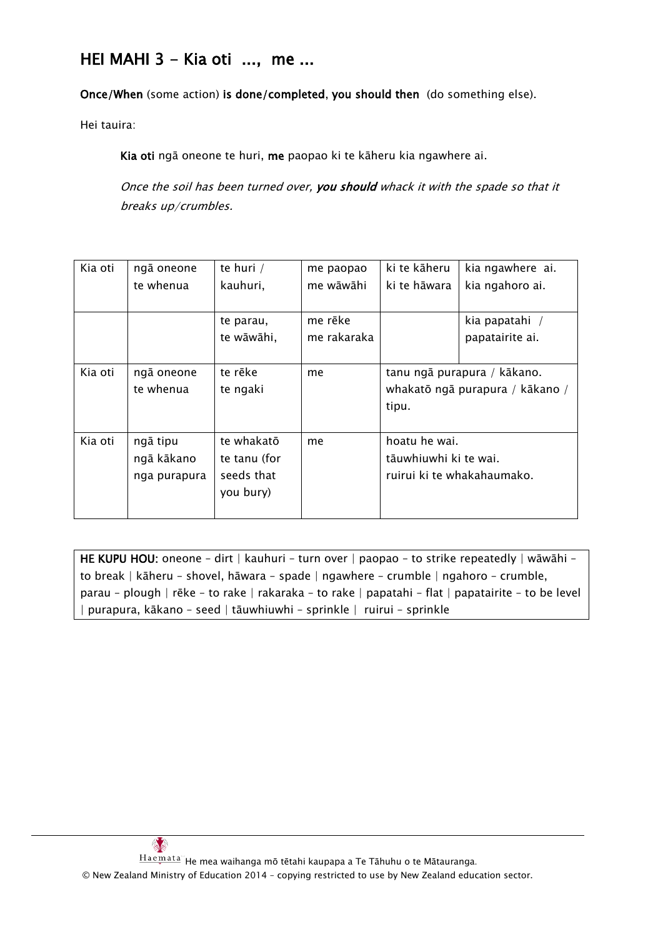# HEI MAHI 3 - Kia oti ..., me ...

Once/When (some action) is done/completed, you should then (do something else).

Hei tauira:

Kia oti ngā oneone te huri, me paopao ki te kāheru kia ngawhere ai.

Once the soil has been turned over, you should whack it with the spade so that it breaks up/crumbles.

| Kia oti | ngā oneone<br>te whenua                | te huri /<br>kauhuri,                                 | me paopao<br>me wāwāhi | ki te kāheru<br>ki te hāwara           | kia ngawhere ai.<br>kia ngahoro ai.                            |
|---------|----------------------------------------|-------------------------------------------------------|------------------------|----------------------------------------|----------------------------------------------------------------|
|         |                                        |                                                       |                        |                                        |                                                                |
|         |                                        | te parau,<br>te wāwāhi,                               | me rēke<br>me rakaraka |                                        | kia papatahi /<br>papatairite ai.                              |
| Kia oti | ngā oneone<br>te whenua                | te rēke<br>te ngaki                                   | me                     | tipu.                                  | tanu ngā purapura / kākano.<br>whakatō ngā purapura / kākano / |
| Kia oti | ngā tipu<br>ngā kākano<br>nga purapura | te whakatō<br>te tanu (for<br>seeds that<br>you bury) | me                     | hoatu he wai.<br>tāuwhiuwhi ki te wai. | ruirui ki te whakahaumako.                                     |

HE KUPU HOU: oneone – dirt | kauhuri – turn over | paopao – to strike repeatedly | wāwāhi – to break | kāheru – shovel, hāwara – spade | ngawhere – crumble | ngahoro – crumble, parau – plough | rēke – to rake | rakaraka – to rake | papatahi – flat | papatairite – to be level | purapura, kākano – seed | tāuwhiuwhi – sprinkle | ruirui – sprinkle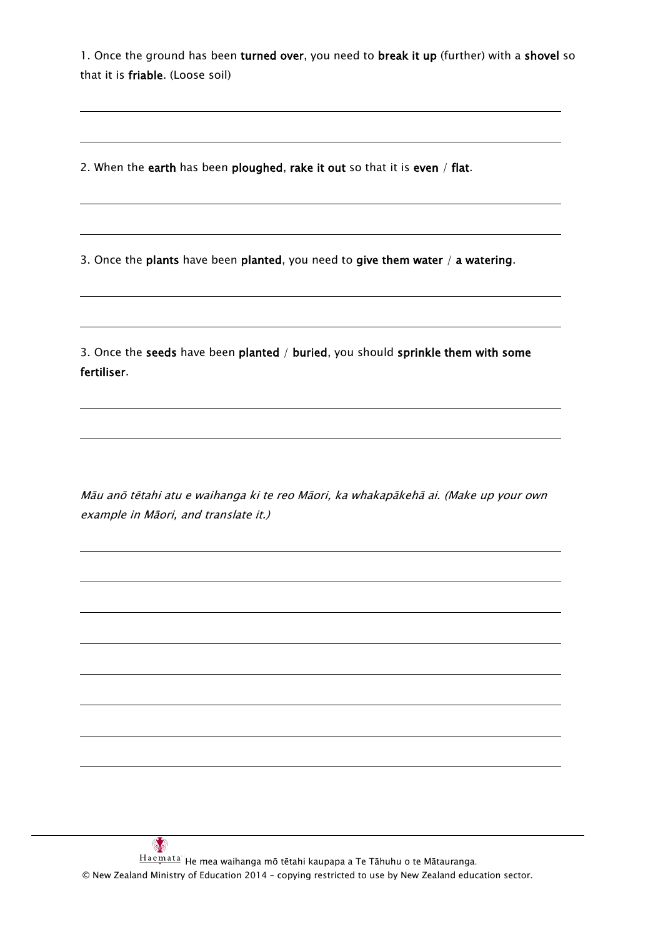1. Once the ground has been turned over, you need to break it up (further) with a shovel so that it is friable. (Loose soil)

2. When the earth has been ploughed, rake it out so that it is even / flat.

3. Once the plants have been planted, you need to give them water  $/$  a watering.

3. Once the seeds have been planted / buried, you should sprinkle them with some fertiliser.

Māu anō tētahi atu e waihanga ki te reo Māori, ka whakapākehā ai. (Make up your own example in Māori, and translate it.)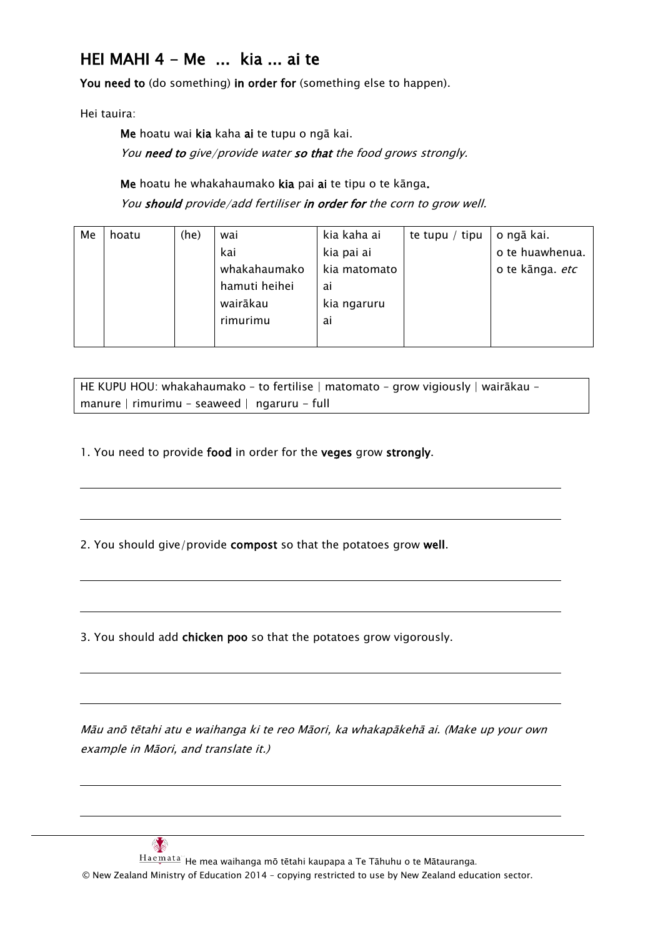# HEI MAHI 4 - Me ... kia ... ai te

You need to (do something) in order for (something else to happen).

Hei tauira:

Me hoatu wai kia kaha ai te tupu o ngā kai. You need to give/provide water so that the food grows strongly.

Me hoatu he whakahaumako kia pai ai te tipu o te kānga.

You should provide/add fertiliser in order for the corn to grow well.

| Me | hoatu | (he) | wai           | kia kaha ai  | te tupu / tipu | o ngā kai.             |
|----|-------|------|---------------|--------------|----------------|------------------------|
|    |       |      | kai           | kia pai ai   |                | o te huawhenua.        |
|    |       |      | whakahaumako  | kia matomato |                | o te kānga. <i>etc</i> |
|    |       |      | hamuti heihei | ai           |                |                        |
|    |       |      | wairākau      | kia ngaruru  |                |                        |
|    |       |      | rimurimu      | ai           |                |                        |
|    |       |      |               |              |                |                        |

| HE KUPU HOU: whakahaumako - to fertilise   matomato - grow vigiously   wairākau - |  |
|-----------------------------------------------------------------------------------|--|
| manure   rimurimu - seaweed   ngaruru - full                                      |  |

1. You need to provide food in order for the veges grow strongly.

2. You should give/provide compost so that the potatoes grow well.

3. You should add chicken poo so that the potatoes grow vigorously.

Māu anō tētahi atu e waihanga ki te reo Māori, ka whakapākehā ai. (Make up your own example in Māori, and translate it.)

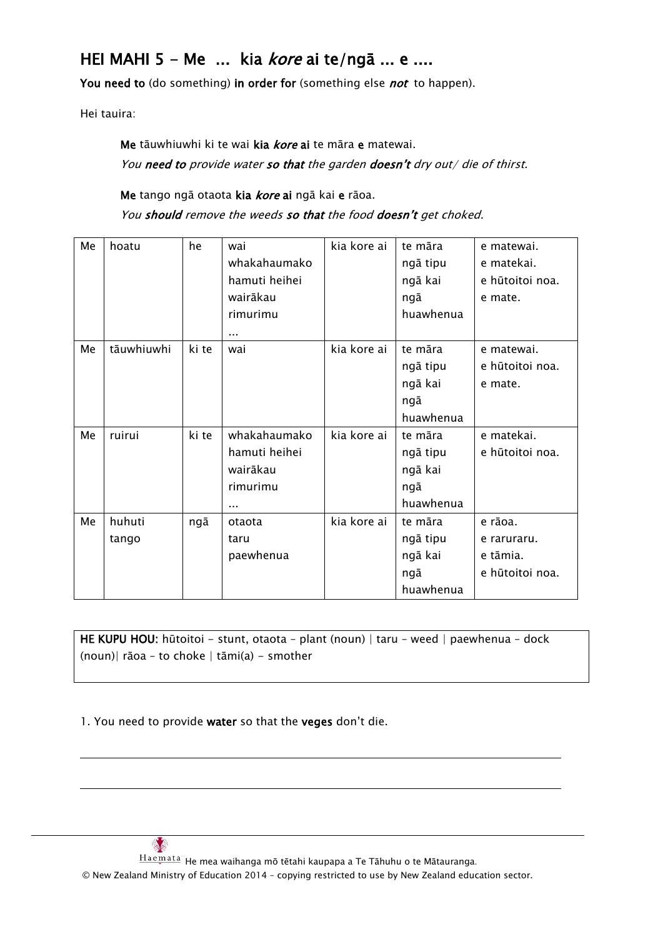# HEI MAHI 5 - Me ... kia *kore* ai te/ngā ... e ....

You need to (do something) in order for (something else *not* to happen).

Hei tauira:

Me tāuwhiuwhi ki te wai kia kore ai te māra e matewai. You need to provide water so that the garden doesn't dry out/ die of thirst.

Me tango ngā otaota kia kore ai ngā kai e rāoa.

You should remove the weeds so that the food doesn't get choked.

| Me | hoatu      | he    | wai           | kia kore ai | te māra   | e matewai.      |
|----|------------|-------|---------------|-------------|-----------|-----------------|
|    |            |       | whakahaumako  |             | ngā tipu  | e matekai.      |
|    |            |       | hamuti heihei |             | ngā kai   | e hūtoitoi noa. |
|    |            |       | wairākau      |             | ngā       | e mate.         |
|    |            |       | rimurimu      |             | huawhenua |                 |
|    |            |       |               |             |           |                 |
| Me | tāuwhiuwhi | ki te | wai           | kia kore ai | te māra   | e matewai.      |
|    |            |       |               |             | ngā tipu  | e hūtoitoi noa. |
|    |            |       |               |             | ngā kai   | e mate.         |
|    |            |       |               |             | ngā       |                 |
|    |            |       |               |             | huawhenua |                 |
| Me | ruirui     | ki te | whakahaumako  | kia kore ai | te māra   | e matekai.      |
|    |            |       | hamuti heihei |             | ngā tipu  | e hūtoitoi noa. |
|    |            |       | wairākau      |             | ngā kai   |                 |
|    |            |       | rimurimu      |             | ngā       |                 |
|    |            |       |               |             | huawhenua |                 |
| Me | huhuti     | ngā   | otaota        | kia kore ai | te māra   | e rāoa.         |
|    | tango      |       | taru          |             | ngā tipu  | e raruraru.     |
|    |            |       | paewhenua     |             | ngā kai   | e tāmia.        |
|    |            |       |               |             | ngā       | e hūtoitoi noa. |
|    |            |       |               |             | huawhenua |                 |

HE KUPU HOU: hūtoitoi - stunt, otaota - plant (noun) | taru - weed | paewhenua - dock (noun)| rāoa – to choke | tāmi(a) - smother

1. You need to provide water so that the veges don't die.



 $\frac{Ha\,em\,ata^m}{A}$ He mea waihanga mō tētahi kaupapa a Te Tāhuhu o te Mātauranga.

© New Zealand Ministry of Education 2014 – copying restricted to use by New Zealand education sector.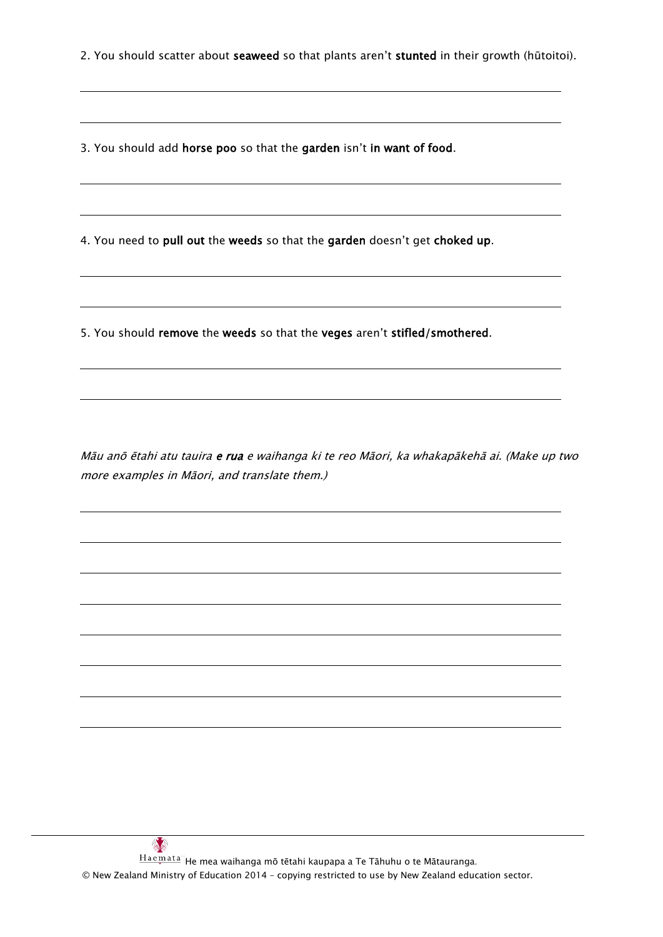2. You should scatter about seaweed so that plants aren't stunted in their growth (hūtoitoi).

3. You should add horse poo so that the garden isn't in want of food.

4. You need to pull out the weeds so that the garden doesn't get choked up.

5. You should remove the weeds so that the veges aren't stifled/smothered.

Māu anō ētahi atu tauira e rua e waihanga ki te reo Māori, ka whakapākehā ai. (Make up two more examples in Māori, and translate them.)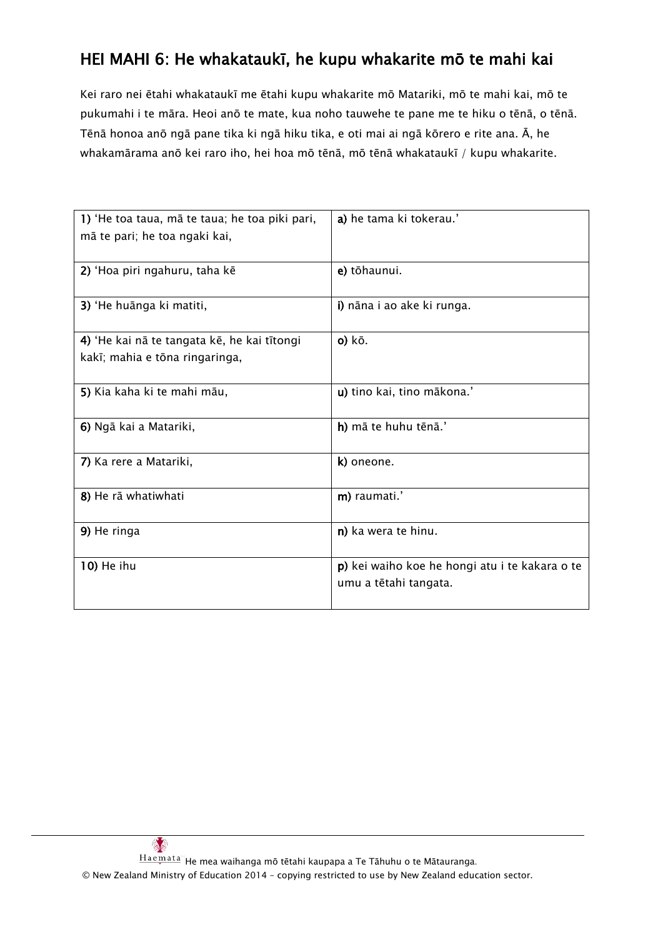# HEI MAHI 6: He whakataukī, he kupu whakarite mō te mahi kai

Kei raro nei ētahi whakataukī me ētahi kupu whakarite mō Matariki, mō te mahi kai, mō te pukumahi i te māra. Heoi anō te mate, kua noho tauwehe te pane me te hiku o tēnā, o tēnā. Tēnā honoa anō ngā pane tika ki ngā hiku tika, e oti mai ai ngā kōrero e rite ana. Ā, he whakamārama anō kei raro iho, hei hoa mō tēnā, mō tēnā whakataukī / kupu whakarite.

| 1) 'He toa taua, mā te taua; he toa piki pari,<br>mā te pari; he toa ngaki kai, | a) he tama ki tokerau.'                                                 |
|---------------------------------------------------------------------------------|-------------------------------------------------------------------------|
| 2) 'Hoa piri ngahuru, taha kē                                                   | e) tōhaunui.                                                            |
| 3) 'He huānga ki matiti,                                                        | i) nāna i ao ake ki runga.                                              |
| 4) 'He kai nā te tangata kē, he kai tītongi<br>kakī; mahia e tōna ringaringa,   | $o)$ kō.                                                                |
| 5) Kia kaha ki te mahi māu,                                                     | u) tino kai, tino mākona.'                                              |
| 6) Ngā kai a Matariki,                                                          | h) mā te huhu tēnā.'                                                    |
| 7) Ka rere a Matariki,                                                          | k) oneone.                                                              |
| 8) He rā whatiwhati                                                             | m) raumati.'                                                            |
| 9) He ringa                                                                     | n) ka wera te hinu.                                                     |
| 10) He ihu                                                                      | p) kei waiho koe he hongi atu i te kakara o te<br>umu a tētahi tangata. |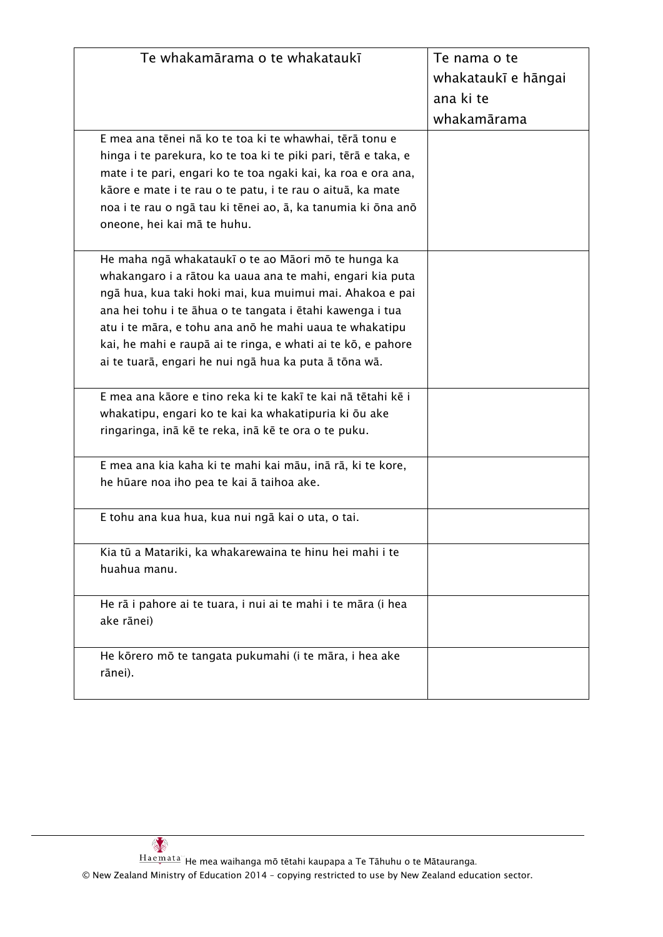| Te whakamārama o te whakataukī                                 | Te nama o te        |
|----------------------------------------------------------------|---------------------|
|                                                                | whakataukī e hāngai |
|                                                                | ana ki te           |
|                                                                | whakamārama         |
| E mea ana tēnei nā ko te toa ki te whawhai, tērā tonu e        |                     |
| hinga i te parekura, ko te toa ki te piki pari, tērā e taka, e |                     |
| mate i te pari, engari ko te toa ngaki kai, ka roa e ora ana,  |                     |
| kãore e mate i te rau o te patu, i te rau o aituā, ka mate     |                     |
| noa i te rau o ngā tau ki tēnei ao, ā, ka tanumia ki ōna anō   |                     |
| oneone, hei kai mā te huhu.                                    |                     |
| He maha ngā whakataukī o te ao Māori mō te hunga ka            |                     |
| whakangaro i a rātou ka uaua ana te mahi, engari kia puta      |                     |
| ngā hua, kua taki hoki mai, kua muimui mai. Ahakoa e pai       |                     |
| ana hei tohu i te āhua o te tangata i ētahi kawenga i tua      |                     |
| atu i te māra, e tohu ana anō he mahi uaua te whakatipu        |                     |
| kai, he mahi e raupā ai te ringa, e whati ai te kō, e pahore   |                     |
| ai te tuarā, engari he nui ngā hua ka puta ā tōna wā.          |                     |
|                                                                |                     |
| E mea ana kāore e tino reka ki te kakī te kai nā tētahi kē i   |                     |
| whakatipu, engari ko te kai ka whakatipuria ki ōu ake          |                     |
| ringaringa, inā kē te reka, inā kē te ora o te puku.           |                     |
| E mea ana kia kaha ki te mahi kai māu, inā rā, ki te kore,     |                     |
| he hūare noa iho pea te kai ā taihoa ake.                      |                     |
|                                                                |                     |
| E tohu ana kua hua, kua nui ngā kai o uta, o tai.              |                     |
| Kia tū a Matariki, ka whakarewaina te hinu hei mahi i te       |                     |
| huahua manu.                                                   |                     |
|                                                                |                     |
| He rā i pahore ai te tuara, i nui ai te mahi i te māra (i hea  |                     |
| ake rānei)                                                     |                     |
| He kõrero mõ te tangata pukumahi (i te māra, i hea ake         |                     |
| rānei).                                                        |                     |
|                                                                |                     |
|                                                                |                     |

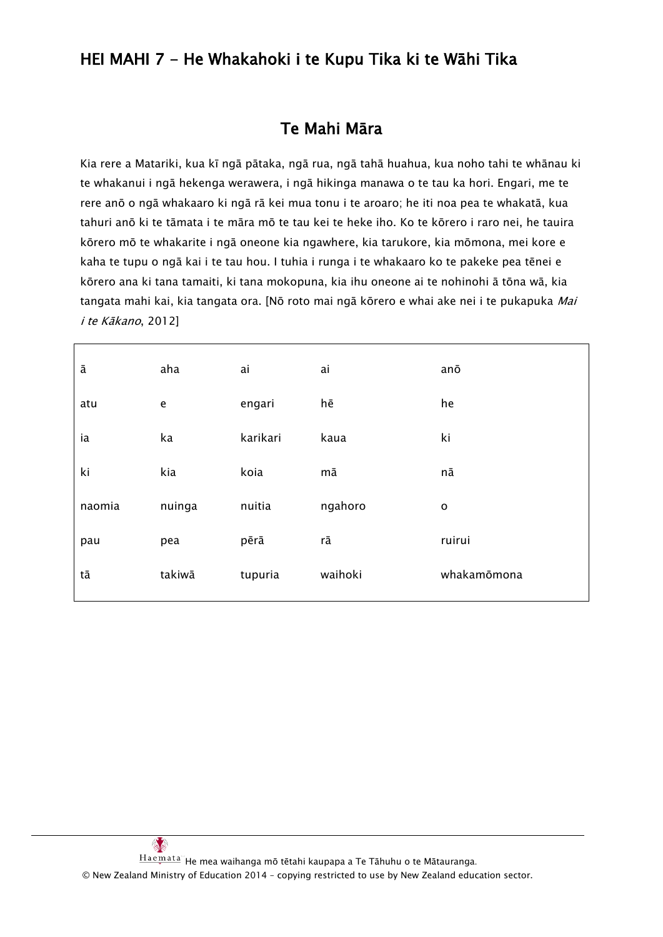# HEI MAHI 7 - He Whakahoki i te Kupu Tika ki te Wāhi Tika

### Te Mahi Māra

Kia rere a Matariki, kua kī ngā pātaka, ngā rua, ngā tahā huahua, kua noho tahi te whānau ki te whakanui i ngā hekenga werawera, i ngā hikinga manawa o te tau ka hori. Engari, me te rere anō o ngā whakaaro ki ngā rā kei mua tonu i te aroaro; he iti noa pea te whakatā, kua tahuri anō ki te tāmata i te māra mō te tau kei te heke iho. Ko te kōrero i raro nei, he tauira kōrero mō te whakarite i ngā oneone kia ngawhere, kia tarukore, kia mōmona, mei kore e kaha te tupu o ngā kai i te tau hou. I tuhia i runga i te whakaaro ko te pakeke pea tēnei e kōrero ana ki tana tamaiti, ki tana mokopuna, kia ihu oneone ai te nohinohi ā tōna wā, kia tangata mahi kai, kia tangata ora. [Nō roto mai ngā kōrero e whai ake nei i te pukapuka Mai i te Kākano, 2012]

| ā      | aha    | ai       | ai      | anō            |
|--------|--------|----------|---------|----------------|
| atu    | e      | engari   | hē      | he             |
| ia     | ka     | karikari | kaua    | ki             |
| ki     | kia    | koia     | mā      | nā             |
| naomia | nuinga | nuitia   | ngahoro | $\mathsf{o}\,$ |
| pau    | pea    | pērā     | rā      | ruirui         |
| tā     | takiwā | tupuria  | waihoki | whakamōmona    |
|        |        |          |         |                |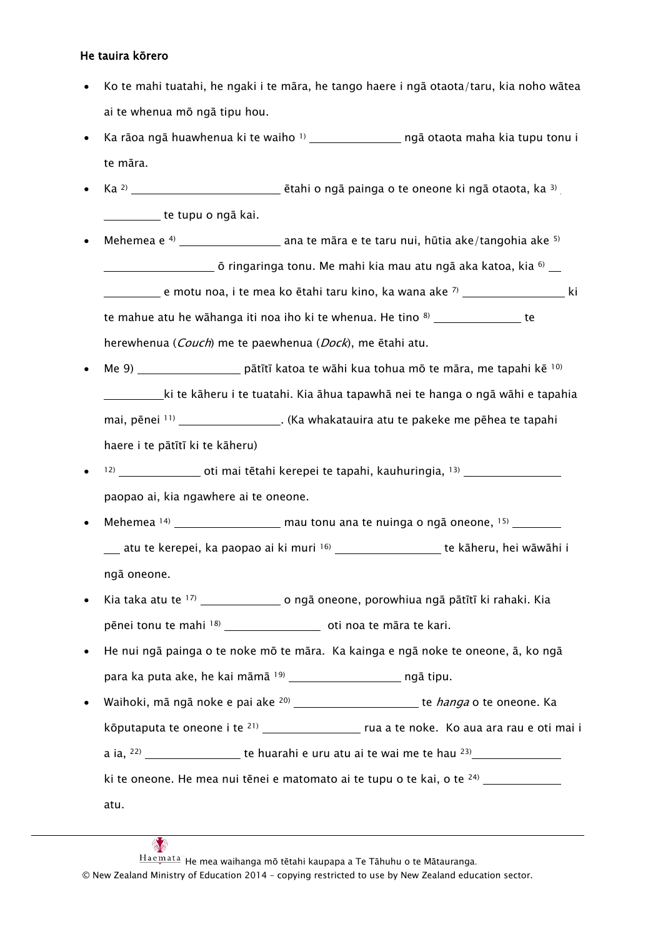#### He tauira kōrero

- Ko te mahi tuatahi, he ngaki i te māra, he tango haere i ngā otaota/taru, kia noho wātea ai te whenua mō ngā tipu hou.
- Ka rāoa ngā huawhenua ki te waiho  $\frac{1}{2}$  mechano metrica maha kia tupu tonu i te māra.
- Ka <sup>2)</sup> **Etahi o ngā painga o te oneone ki ngā otaota, ka 3**) <u>\_\_\_\_\_\_\_\_\_\_</u> te tupu o ngā kai.
- Mehemea e 4) ana te māra e te taru nui, hūtia ake/tangohia ake 5)  $\equiv$  ō ringaringa tonu. Me mahi kia mau atu ngā aka katoa, kia  $^{6)}$ e motu noa, i te mea ko ētahi taru kino, ka wana ake 7) ki te mahue atu he wāhanga iti noa iho ki te whenua. He tino <sup>8)</sup> \_\_\_\_\_\_\_\_\_\_\_\_\_\_\_\_ te herewhenua (Couch) me te paewhenua (Dock), me ētahi atu.
- Me 9) \_\_\_\_\_\_\_\_\_\_\_\_\_\_\_\_\_ pātītī katoa te wāhi kua tohua mō te māra, me tapahi kē  $10$ ki te kāheru i te tuatahi. Kia āhua tapawhā nei te hanga o ngā wāhi e tapahia mai, pēnei <sup>11)</sup> \_\_\_\_\_\_\_\_\_\_\_\_\_\_\_\_\_\_\_. (Ka whakatauira atu te pakeke me pēhea te tapahi haere i te pātītī ki te kāheru)
- 12) oti mai tētahi kerepei te tapahi, kauhuringia, <sup>13)</sup> 120 marecentus est mai tētahi kerepei te tapahi, kauhuringia, <sup>13)</sup> paopao ai, kia ngawhere ai te oneone.
- Mehemea  $14$ ) mau tonu ana te nuinga o ngā oneone,  $15$ atu te kerepei, ka paopao ai ki muri 16 \_\_\_\_\_\_\_\_\_\_\_\_\_\_\_\_\_\_\_\_\_ te kāheru, hei wāwāhi i ngā oneone.
- Kia taka atu te 17) o ngā oneone, porowhiua ngā pātītī ki rahaki. Kia pēnei tonu te mahi <sup>18)</sup> [18] [18] oti noa te māra te kari.
- He nui ngā painga o te noke mō te māra. Ka kainga e ngā noke te oneone, ā, ko ngā para ka puta ake, he kai māmā <sup>19)</sup> ngā tipu.
- Waihoki, mā ngā noke e pai ake <sup>20)</sup> \_\_\_\_\_\_\_\_\_\_\_\_\_\_\_\_\_\_\_\_\_\_\_te *hanga* o te oneone. Ka kōputaputa te oneone i te 21) rua a te noke. Ko aua ara rau e oti mai i a ia, 22) te huarahi e uru atu ai te wai me te hau 23) ki te oneone. He mea nui tēnei e matomato ai te tupu o te kai, o te 24)

atu.

Haemata He mea waihanga mō tētahi kaupapa a Te Tāhuhu o te Mātauranga.

© New Zealand Ministry of Education 2014 – copying restricted to use by New Zealand education sector.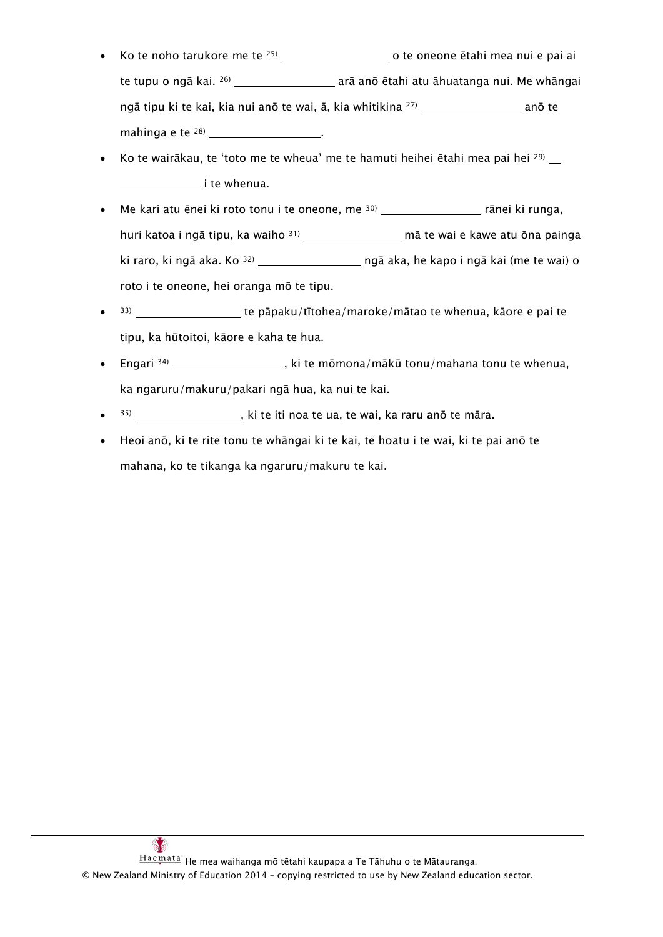- Ko te noho tarukore me te 25) o te oneone ētahi mea nui e pai ai te tupu o ngā kai. <sup>26)</sup> \_\_\_\_\_\_\_\_\_\_\_\_\_\_\_\_\_\_\_\_\_\_ arā anō ētahi atu āhuatanga nui. Me whāngai ngā tipu ki te kai, kia nui anō te wai, ā, kia whitikina 27) anō te mahinga e te <sup>28)</sup> \_\_\_\_\_\_\_\_\_\_\_\_\_\_\_\_\_\_\_\_\_\_\_\_.
- Ko te wairākau, te 'toto me te wheua' me te hamuti heihei ētahi mea pai hei <sup>29)</sup> **i** te whenua.
- Me kari atu ēnei ki roto tonu i te oneone, me 30) rānei ki runga, huri katoa i ngā tipu, ka waiho 31) \_\_\_\_\_\_\_\_\_\_\_\_\_\_\_ mā te wai e kawe atu ōna painga ki raro, ki ngā aka. Ko 32) ngā aka, he kapo i ngā kai (me te wai) o roto i te oneone, hei oranga mō te tipu.
- 33) te pāpaku/tītohea/maroke/mātao te whenua, kāore e pai te tipu, ka hūtoitoi, kāore e kaha te hua.
- Engari  $34$ ) \_\_\_\_\_\_\_\_\_\_\_\_\_\_\_\_\_\_\_\_\_, ki te mōmona/mākū tonu/mahana tonu te whenua, ka ngaruru/makuru/pakari ngā hua, ka nui te kai.
- $\frac{355}{2}$   $\frac{1}{2}$   $\frac{1}{2}$   $\frac{1}{2}$  ki te iti noa te ua, te wai, ka raru anō te māra.
- Heoi anō, ki te rite tonu te whāngai ki te kai, te hoatu i te wai, ki te pai anō te mahana, ko te tikanga ka ngaruru/makuru te kai.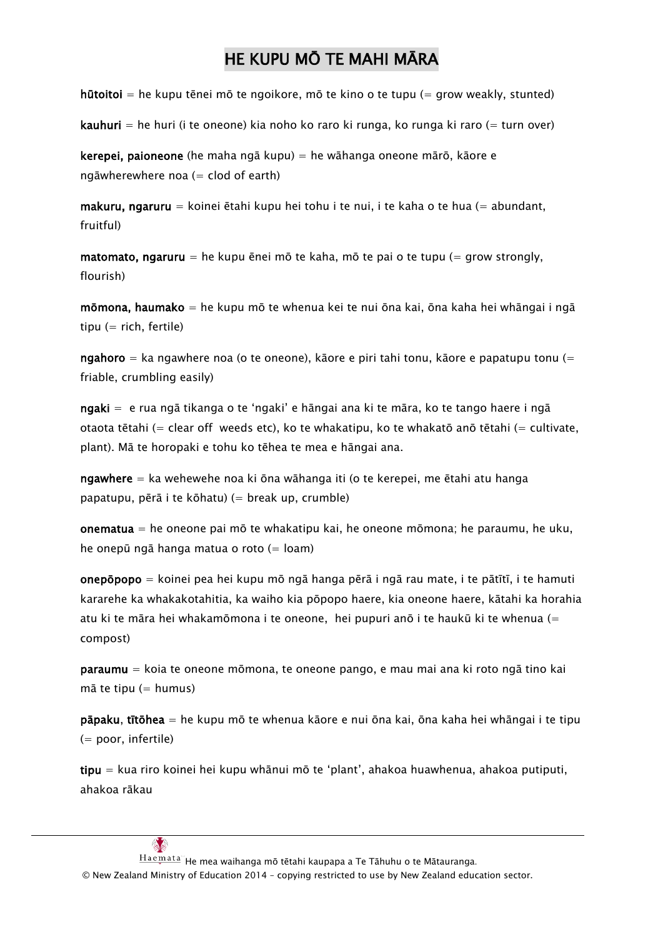# HE KUPU MŌ TE MAHI MĀRA

hūtoitoi = he kupu tēnei mō te ngoikore, mō te kino o te tupu (= grow weakly, stunted)

**kauhuri** = he huri (i te oneone) kia noho ko raro ki runga, ko runga ki raro (= turn over)

kerepei, paioneone (he maha ngā kupu) = he wāhanga oneone mārō, kāore e ngāwherewhere noa  $(=$  clod of earth)

makuru, ngaruru = koinei ētahi kupu hei tohu i te nui, i te kaha o te hua (= abundant, fruitful)

matomato, ngaruru = he kupu ēnei mō te kaha, mō te pai o te tupu (= grow strongly, flourish)

mōmona, haumako = he kupu mō te whenua kei te nui ōna kai, ōna kaha hei whāngai i ngā tipu  $(=$  rich, fertile)

ngahoro = ka ngawhere noa (o te oneone), kāore e piri tahi tonu, kāore e papatupu tonu (= friable, crumbling easily)

ngaki = e rua ngā tikanga o te 'ngaki' e hāngai ana ki te māra, ko te tango haere i ngā otaota tētahi (= clear off weeds etc), ko te whakatipu, ko te whakatō anō tētahi (= cultivate, plant). Mā te horopaki e tohu ko tēhea te mea e hāngai ana.

ngawhere  $=$  ka wehewehe noa ki ōna wāhanga iti (o te kerepei, me ētahi atu hanga papatupu, pērā i te kōhatu) (= break up, crumble)

onematua = he oneone pai mō te whakatipu kai, he oneone mōmona; he paraumu, he uku, he onepū ngā hanga matua o roto (= loam)

onepōpopo = koinei pea hei kupu mō ngā hanga pērā i ngā rau mate, i te pātītī, i te hamuti kararehe ka whakakotahitia, ka waiho kia pōpopo haere, kia oneone haere, kātahi ka horahia atu ki te māra hei whakamōmona i te oneone, hei pupuri anō i te haukū ki te whenua (= compost)

paraumu = koia te oneone mōmona, te oneone pango, e mau mai ana ki roto ngā tino kai  $m\bar{a}$  te tipu (= humus)

pāpaku, tītōhea = he kupu mō te whenua kāore e nui ōna kai, ōna kaha hei whāngai i te tipu (= poor, infertile)

tipu = kua riro koinei hei kupu whānui mō te 'plant', ahakoa huawhenua, ahakoa putiputi, ahakoa rākau

 $Hae$  $\frac{Haemata}{h}$  He mea waihanga mō tētahi kaupapa a Te Tāhuhu o te Mātauranga.

© New Zealand Ministry of Education 2014 – copying restricted to use by New Zealand education sector.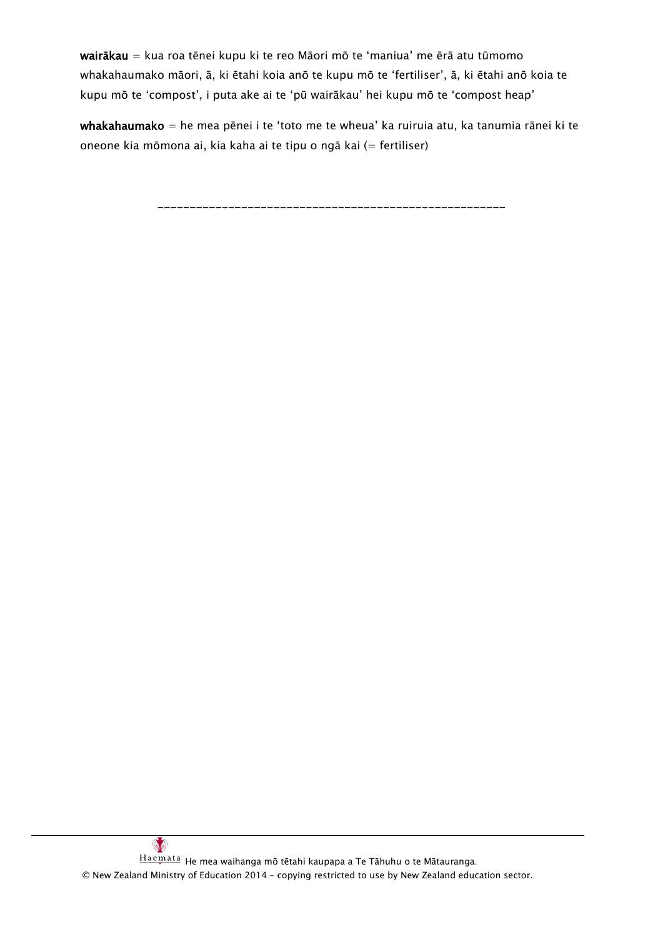wairākau = kua roa tēnei kupu ki te reo Māori mō te 'maniua' me ērā atu tūmomo whakahaumako māori, ā, ki ētahi koia anō te kupu mō te 'fertiliser', ā, ki ētahi anō koia te kupu mō te 'compost', i puta ake ai te 'pū wairākau' hei kupu mō te 'compost heap'

whakahaumako = he mea pēnei i te 'toto me te wheua' ka ruiruia atu, ka tanumia rānei ki te oneone kia mōmona ai, kia kaha ai te tipu o ngā kai (= fertiliser)

------------------------------------------------------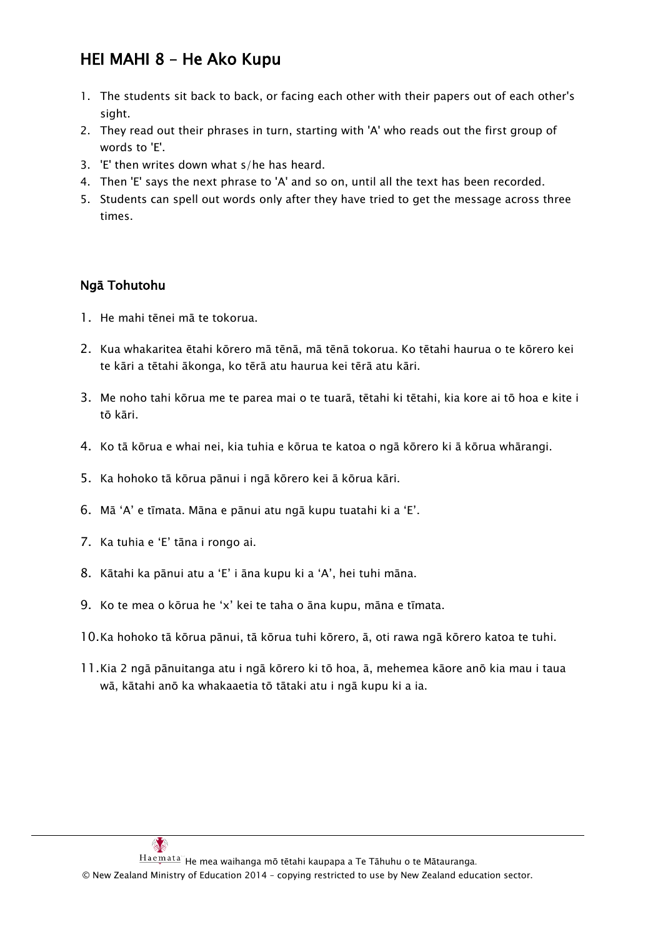# HEI MAHI 8 – He Ako Kupu

- 1. The students sit back to back, or facing each other with their papers out of each other's sight.
- 2. They read out their phrases in turn, starting with 'A' who reads out the first group of words to 'E'.
- 3. 'E' then writes down what s/he has heard.
- 4. Then 'E' says the next phrase to 'A' and so on, until all the text has been recorded.
- 5. Students can spell out words only after they have tried to get the message across three times.

#### Ngā Tohutohu

- 1. He mahi tēnei mā te tokorua.
- 2. Kua whakaritea ētahi kōrero mā tēnā, mā tēnā tokorua. Ko tētahi haurua o te kōrero kei te kāri a tētahi ākonga, ko tērā atu haurua kei tērā atu kāri.
- 3. Me noho tahi kōrua me te parea mai o te tuarā, tētahi ki tētahi, kia kore ai tō hoa e kite i tō kāri.
- 4. Ko tā kōrua e whai nei, kia tuhia e kōrua te katoa o ngā kōrero ki ā kōrua whārangi.
- 5. Ka hohoko tā kōrua pānui i ngā kōrero kei ā kōrua kāri.
- 6. Mā 'A' e tīmata. Māna e pānui atu ngā kupu tuatahi ki a 'E'.
- 7. Ka tuhia e 'E' tāna i rongo ai.
- 8. Kātahi ka pānui atu a 'E' i āna kupu ki a 'A', hei tuhi māna.
- 9. Ko te mea o kōrua he 'x' kei te taha o āna kupu, māna e tīmata.
- 10.Ka hohoko tā kōrua pānui, tā kōrua tuhi kōrero, ā, oti rawa ngā kōrero katoa te tuhi.
- 11.Kia 2 ngā pānuitanga atu i ngā kōrero ki tō hoa, ā, mehemea kāore anō kia mau i taua wā, kātahi anō ka whakaaetia tō tātaki atu i ngā kupu ki a ia.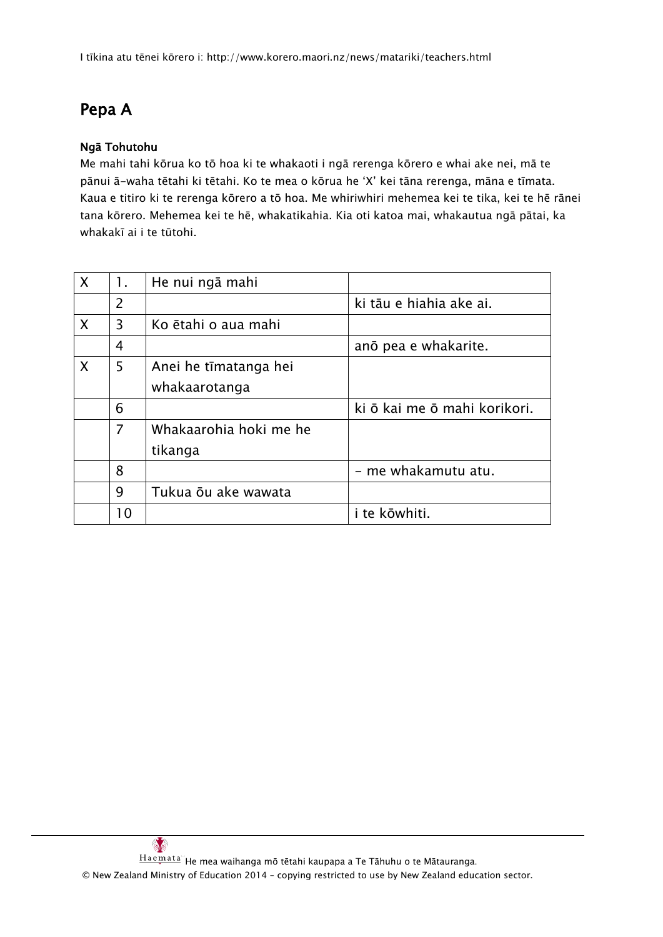# Pepa A

#### Ngā Tohutohu

Me mahi tahi kōrua ko tō hoa ki te whakaoti i ngā rerenga kōrero e whai ake nei, mā te pānui ā-waha tētahi ki tētahi. Ko te mea o kōrua he 'X' kei tāna rerenga, māna e tīmata. Kaua e titiro ki te rerenga kōrero a tō hoa. Me whiriwhiri mehemea kei te tika, kei te hē rānei tana kōrero. Mehemea kei te hē, whakatikahia. Kia oti katoa mai, whakautua ngā pātai, ka whakakī ai i te tūtohi.

| $\sf X$ | 1.             | He nui ngā mahi        |                              |
|---------|----------------|------------------------|------------------------------|
|         | $\overline{2}$ |                        | ki tāu e hiahia ake ai.      |
| X       | 3              | Ko ētahi o aua mahi    |                              |
|         | 4              |                        | ano pea e whakarite.         |
| X       | 5              | Anei he tīmatanga hei  |                              |
|         |                | whakaarotanga          |                              |
|         | 6              |                        | ki ō kai me ō mahi korikori. |
|         | $\overline{7}$ | Whakaarohia hoki me he |                              |
|         |                | tikanga                |                              |
|         | 8              |                        | - me whakamutu atu.          |
|         | 9              | Tukua ōu ake wawata    |                              |
|         | 10             |                        | i te kōwhiti.                |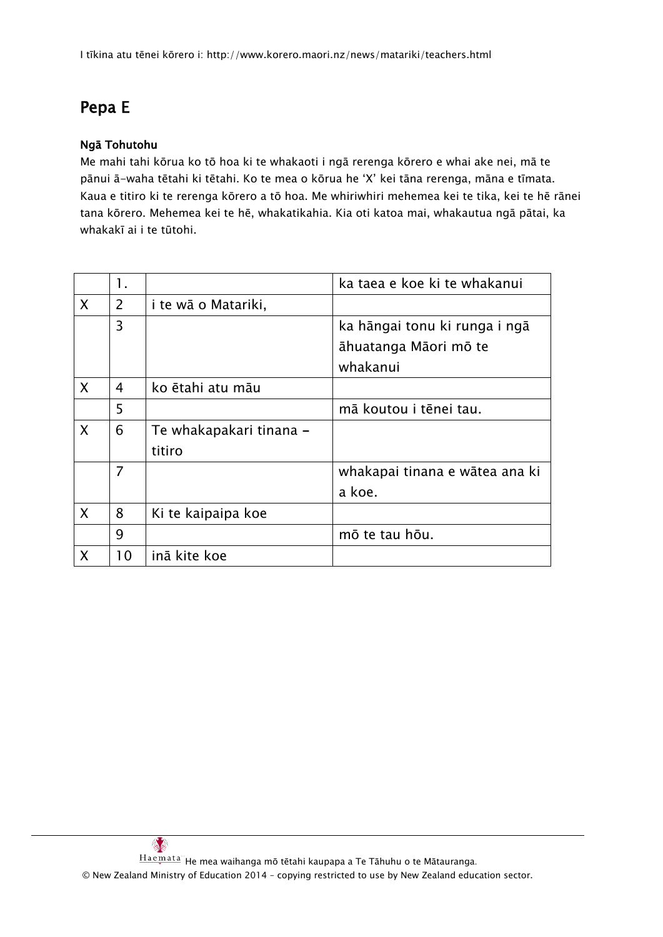# Pepa E

#### Ngā Tohutohu

Me mahi tahi kōrua ko tō hoa ki te whakaoti i ngā rerenga kōrero e whai ake nei, mā te pānui ā-waha tētahi ki tētahi. Ko te mea o kōrua he 'X' kei tāna rerenga, māna e tīmata. Kaua e titiro ki te rerenga kōrero a tō hoa. Me whiriwhiri mehemea kei te tika, kei te hē rānei tana kōrero. Mehemea kei te hē, whakatikahia. Kia oti katoa mai, whakautua ngā pātai, ka whakakī ai i te tūtohi.

|                  | 1.             |                         | ka taea e koe ki te whakanui   |
|------------------|----------------|-------------------------|--------------------------------|
| $\mathsf{X}$     | $\overline{2}$ | i te wā o Matariki,     |                                |
|                  | 3              |                         | ka hāngai tonu ki runga i ngā  |
|                  |                |                         | āhuatanga Māori mō te          |
|                  |                |                         | whakanui                       |
| $\boldsymbol{X}$ | 4              | ko ētahi atu māu        |                                |
|                  | 5              |                         | mā koutou i tēnei tau.         |
| X                | 6              | Te whakapakari tinana - |                                |
|                  |                | titiro                  |                                |
|                  | $\overline{7}$ |                         | whakapai tinana e wātea ana ki |
|                  |                |                         | a koe.                         |
| $\mathsf{X}$     | 8              | Ki te kaipaipa koe      |                                |
|                  | 9              |                         | mō te tau hōu.                 |
| X                | 10             | inā kite koe            |                                |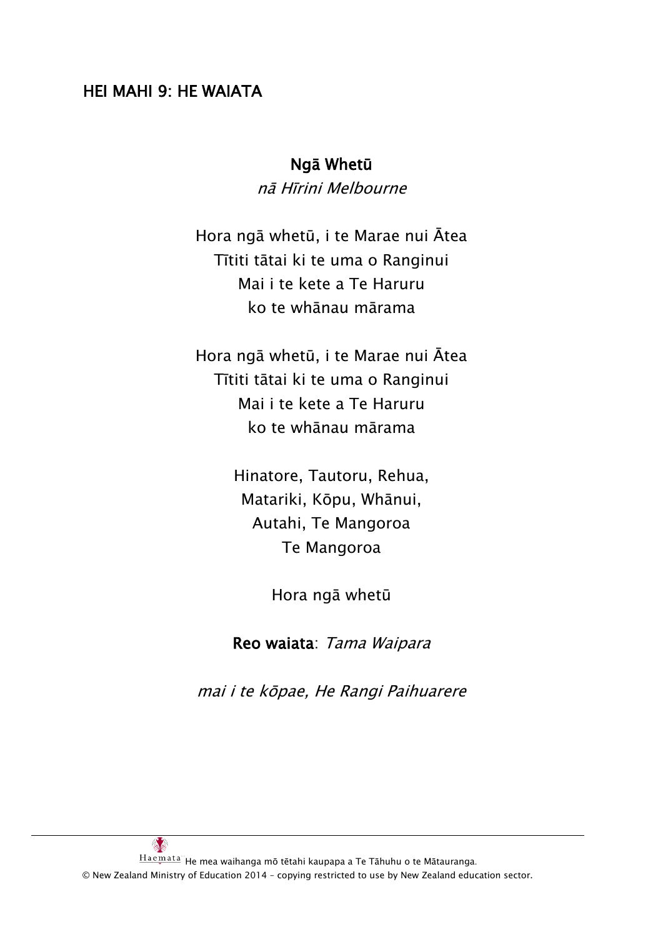## HEI MAHI 9: HE WAIATA

#### Ngā Whetū

nā Hīrini Melbourne

Hora ngā whetū, i te Marae nui Ātea Tītiti tātai ki te uma o Ranginui Mai i te kete a Te Haruru ko te whānau mārama

Hora ngā whetū, i te Marae nui Ātea Tītiti tātai ki te uma o Ranginui Mai i te kete a Te Haruru ko te whānau mārama

> Hinatore, Tautoru, Rehua, Matariki, Kōpu, Whānui, Autahi, Te Mangoroa Te Mangoroa

> > Hora ngā whetū

Reo waiata: Tama Waipara

mai i te kōpae, He Rangi Paihuarere

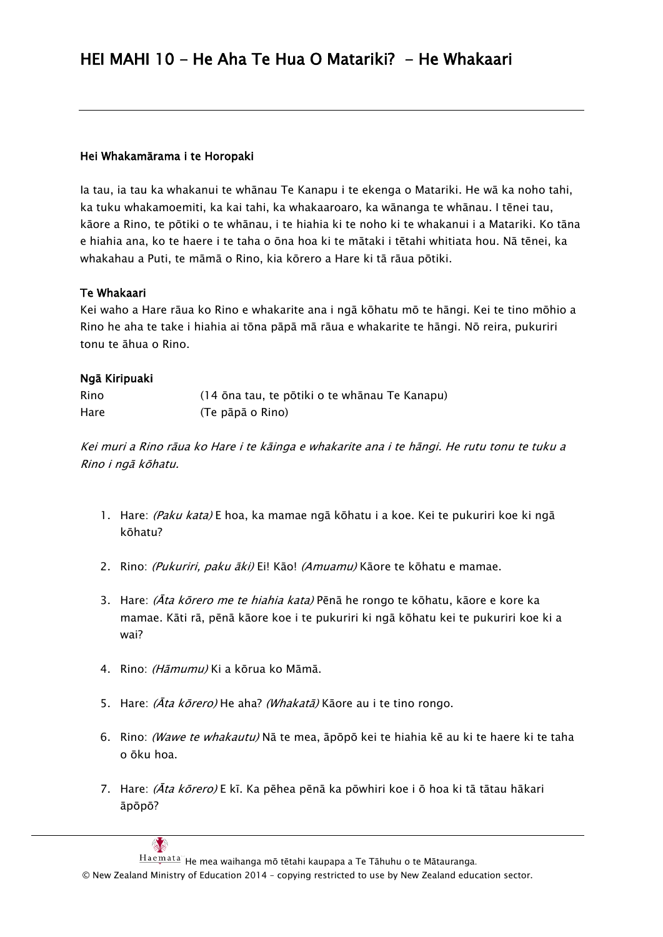#### Hei Whakamārama i te Horopaki

Ia tau, ia tau ka whakanui te whānau Te Kanapu i te ekenga o Matariki. He wā ka noho tahi, ka tuku whakamoemiti, ka kai tahi, ka whakaaroaro, ka wānanga te whānau. I tēnei tau, kāore a Rino, te pōtiki o te whānau, i te hiahia ki te noho ki te whakanui i a Matariki. Ko tāna e hiahia ana, ko te haere i te taha o ōna hoa ki te mātaki i tētahi whitiata hou. Nā tēnei, ka whakahau a Puti, te māmā o Rino, kia kōrero a Hare ki tā rāua pōtiki.

#### Te Whakaari

Kei waho a Hare rāua ko Rino e whakarite ana i ngā kōhatu mō te hāngi. Kei te tino mōhio a Rino he aha te take i hiahia ai tōna pāpā mā rāua e whakarite te hāngi. Nō reira, pukuriri tonu te āhua o Rino.

#### Ngā Kiripuaki

| Rino | (14 ōna tau, te pōtiki o te whānau Te Kanapu) |
|------|-----------------------------------------------|
| Hare | (Te pāpā o Rino)                              |

Kei muri a Rino rāua ko Hare i te kāinga e whakarite ana i te hāngi. He rutu tonu te tuku a Rino i ngā kōhatu.

- 1. Hare: (Paku kata) E hoa, ka mamae ngā kōhatu i a koe. Kei te pukuriri koe ki ngā kōhatu?
- 2. Rino: *(Pukuriri, paku āki)* Ei! Kāo! *(Amuamu)* Kāore te kōhatu e mamae.
- 3. Hare: *(Āta kōrero me te hiahia kata)* Pēnā he rongo te kōhatu, kāore e kore ka mamae. Kāti rā, pēnā kāore koe i te pukuriri ki ngā kōhatu kei te pukuriri koe ki a wai?
- 4. Rino: (Hāmumu) Ki a kōrua ko Māmā.
- 5. Hare: (Āta kōrero) He aha? (Whakatā) Kāore au i te tino rongo.
- 6. Rino: (Wawe te whakautu) Nā te mea, āpōpō kei te hiahia kē au ki te haere ki te taha o ōku hoa.
- 7. Hare: (Āta kōrero) E kī. Ka pēhea pēnā ka pōwhiri koe i ō hoa ki tā tātau hākari āpōpō?



 $Hae$ mata" He mea waihanga mō tētahi kaupapa a Te Tāhuhu o te Mātauranga.

© New Zealand Ministry of Education 2014 – copying restricted to use by New Zealand education sector.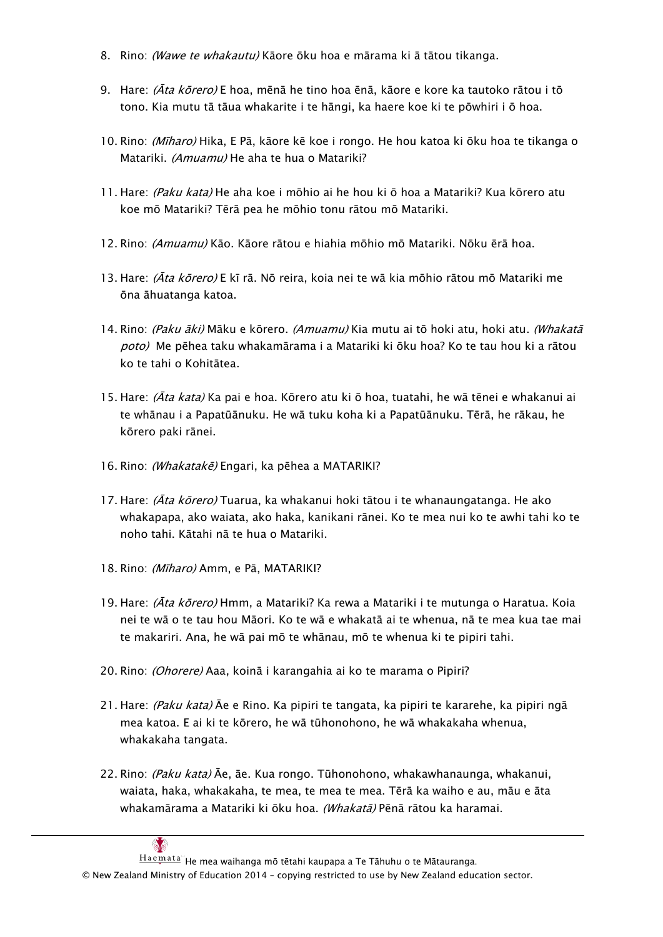- 8. Rino: (Wawe te whakautu) Kāore ōku hoa e mārama ki ā tātou tikanga.
- 9. Hare: (Āta kōrero) E hoa, mēnā he tino hoa ēnā, kāore e kore ka tautoko rātou i tō tono. Kia mutu tā tāua whakarite i te hāngi, ka haere koe ki te pōwhiri i ō hoa.
- 10. Rino: (Mīharo) Hika, E Pā, kāore kē koe i rongo. He hou katoa ki ōku hoa te tikanga o Matariki. *(Amuamu)* He aha te hua o Matariki?
- 11. Hare: (Paku kata) He aha koe i mōhio ai he hou ki ō hoa a Matariki? Kua kōrero atu koe mō Matariki? Tērā pea he mōhio tonu rātou mō Matariki.
- 12. Rino: (Amuamu) Kāo. Kāore rātou e hiahia mōhio mō Matariki. Nōku ērā hoa.
- 13. Hare: (Āta kōrero) E kī rā. Nō reira, koia nei te wā kia mōhio rātou mō Matariki me ōna āhuatanga katoa.
- 14. Rino: *(Paku āki)* Māku e kōrero. *(Amuamu)* Kia mutu ai tō hoki atu. hoki atu. *(Whakatā* poto) Me pēhea taku whakamārama i a Matariki ki ōku hoa? Ko te tau hou ki a rātou ko te tahi o Kohitātea.
- 15. Hare: (Āta kata) Ka pai e hoa. Kōrero atu ki ō hoa, tuatahi, he wā tēnei e whakanui ai te whānau i a Papatūānuku. He wā tuku koha ki a Papatūānuku. Tērā, he rākau, he kōrero paki rānei.
- 16. Rino: (Whakatakē) Engari, ka pēhea a MATARIKI?
- 17. Hare: *(Āta kōrero)* Tuarua, ka whakanui hoki tātou i te whanaungatanga. He ako whakapapa, ako waiata, ako haka, kanikani rānei. Ko te mea nui ko te awhi tahi ko te noho tahi. Kātahi nā te hua o Matariki.
- 18. Rino: (Mīharo) Amm, e Pā, MATARIKI?
- 19. Hare: *(Āta kōrero)* Hmm, a Matariki? Ka rewa a Matariki i te mutunga o Haratua. Koia nei te wā o te tau hou Māori. Ko te wā e whakatā ai te whenua, nā te mea kua tae mai te makariri. Ana, he wā pai mō te whānau, mō te whenua ki te pipiri tahi.
- 20. Rino: *(Ohorere)* Aaa, koinā i karangahia ai ko te marama o Pipiri?
- 21. Hare: *(Paku kata)* Āe e Rino. Ka pipiri te tangata, ka pipiri te kararehe, ka pipiri ngā mea katoa. E ai ki te kōrero, he wā tūhonohono, he wā whakakaha whenua, whakakaha tangata.
- 22. Rino: *(Paku kata)* Āe, āe, Kua rongo, Tūhonohono, whakawhanaunga, whakanui, waiata, haka, whakakaha, te mea, te mea te mea. Tērā ka waiho e au, māu e āta whakamārama a Matariki ki ōku hoa. (Whakatā) Pēnā rātou ka haramai.

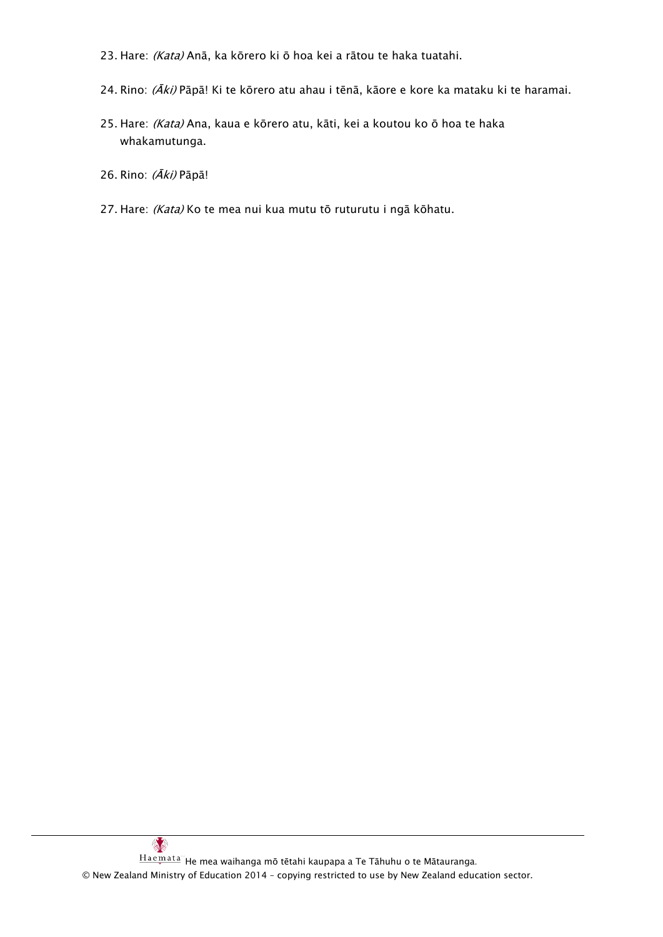- 23. Hare: (Kata) Anā, ka kōrero ki ō hoa kei a rātou te haka tuatahi.
- 24. Rino: (Āki) Pāpā! Ki te kōrero atu ahau i tēnā, kāore e kore ka mataku ki te haramai.
- 25. Hare: (Kata) Ana, kaua e kōrero atu, kāti, kei a koutou ko ō hoa te haka whakamutunga.

26. Rino: (Āki) Pāpā!

27. Hare: (Kata) Ko te mea nui kua mutu tō ruturutu i ngā kōhatu.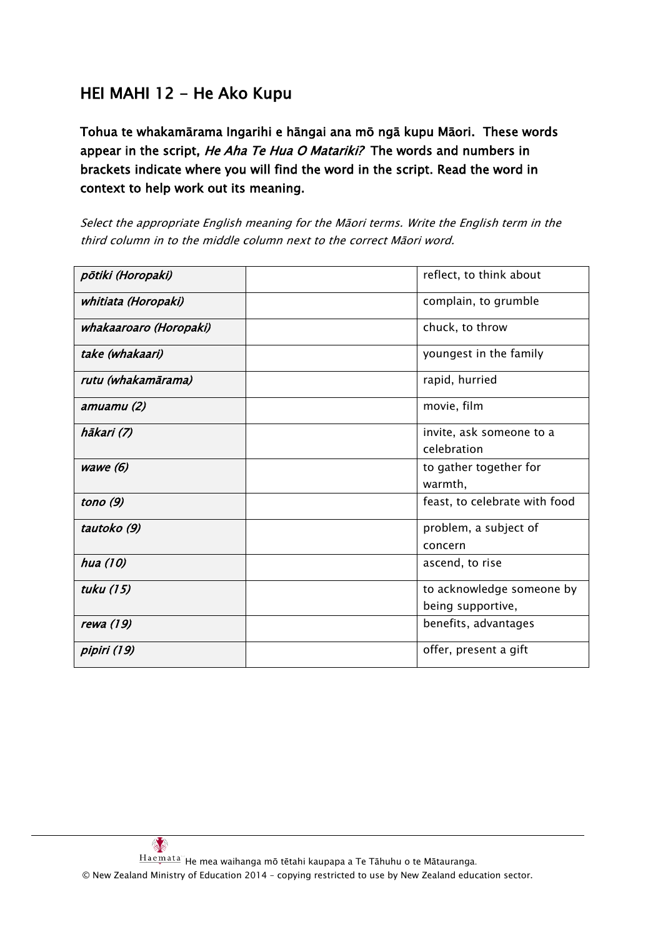# HEI MAHI 12 - He Ako Kupu

Tohua te whakamārama Ingarihi e hāngai ana mō ngā kupu Māori. These words appear in the script, He Aha Te Hua O Matariki? The words and numbers in brackets indicate where you will find the word in the script. Read the word in context to help work out its meaning.

Select the appropriate English meaning for the Māori terms. Write the English term in the third column in to the middle column next to the correct Māori word.

| põtiki (Horopaki)      | reflect, to think about       |
|------------------------|-------------------------------|
| whitiata (Horopaki)    | complain, to grumble          |
| whakaaroaro (Horopaki) | chuck, to throw               |
| take (whakaari)        | youngest in the family        |
| rutu (whakamārama)     | rapid, hurried                |
| amuamu (2)             | movie, film                   |
| hākari (7)             | invite, ask someone to a      |
|                        | celebration                   |
| wawe $(6)$             | to gather together for        |
|                        | warmth,                       |
| tono $(9)$             | feast, to celebrate with food |
| tautoko (9)            | problem, a subject of         |
|                        | concern                       |
| hua (10)               | ascend, to rise               |
| tuku (15)              | to acknowledge someone by     |
|                        | being supportive,             |
| rewa (19)              | benefits, advantages          |
| pipiri (19)            | offer, present a gift         |

 $\mathbb{S}^2$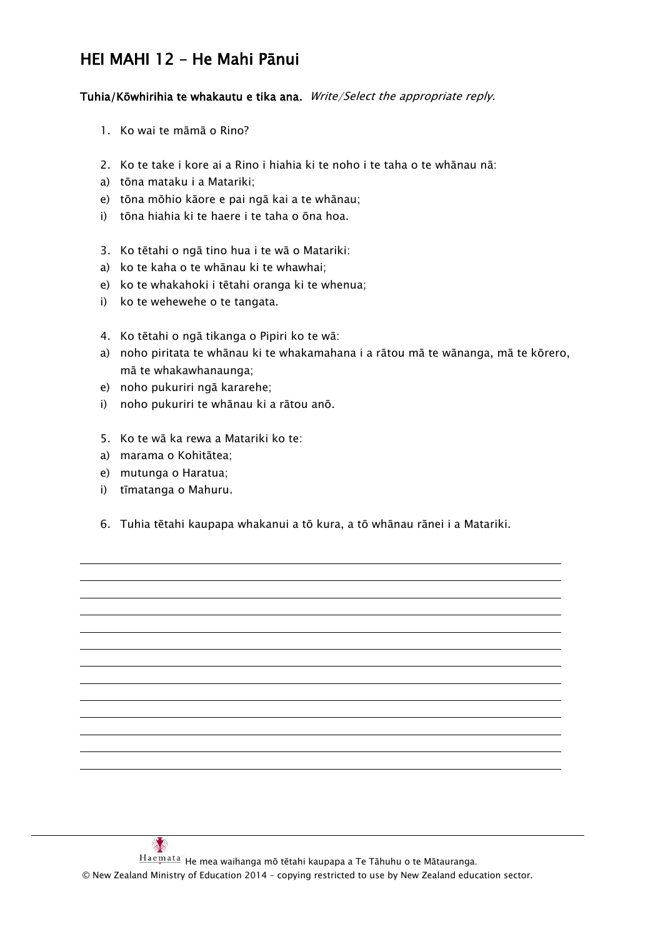# HEI MAHI 12 – He Mahi Pānui

Tuhia/Kōwhirihia te whakautu e tika ana. Write/Select the appropriate reply.

- 1. Ko wai te māmā o Rino?
- 2. Ko te take i kore ai a Rino i hiahia ki te noho i te taha o te whānau nā:
- a) tōna mataku i a Matariki;
- e) tōna mōhio kāore e pai ngā kai a te whānau;
- i) tōna hiahia ki te haere i te taha o ōna hoa.
- 3. Ko tētahi o ngā tino hua i te wā o Matariki:
- a) ko te kaha o te whānau ki te whawhai;
- e) ko te whakahoki i tētahi oranga ki te whenua;
- i) ko te wehewehe o te tangata.
- 4. Ko tētahi o ngā tikanga o Pipiri ko te wā:
- a) noho piritata te whānau ki te whakamahana i a rātou mā te wānanga, mā te kōrero, mā te whakawhanaunga;
- e) noho pukuriri ngā kararehe;
- i) noho pukuriri te whānau ki a rātou anō.
- 5. Ko te wā ka rewa a Matariki ko te:
- a) marama o Kohitātea;
- e) mutunga o Haratua;
- i) tīmatanga o Mahuru.

 $\mathbb{S}^2$ 

6. Tuhia tētahi kaupapa whakanui a tō kura, a tō whānau rānei i a Matariki.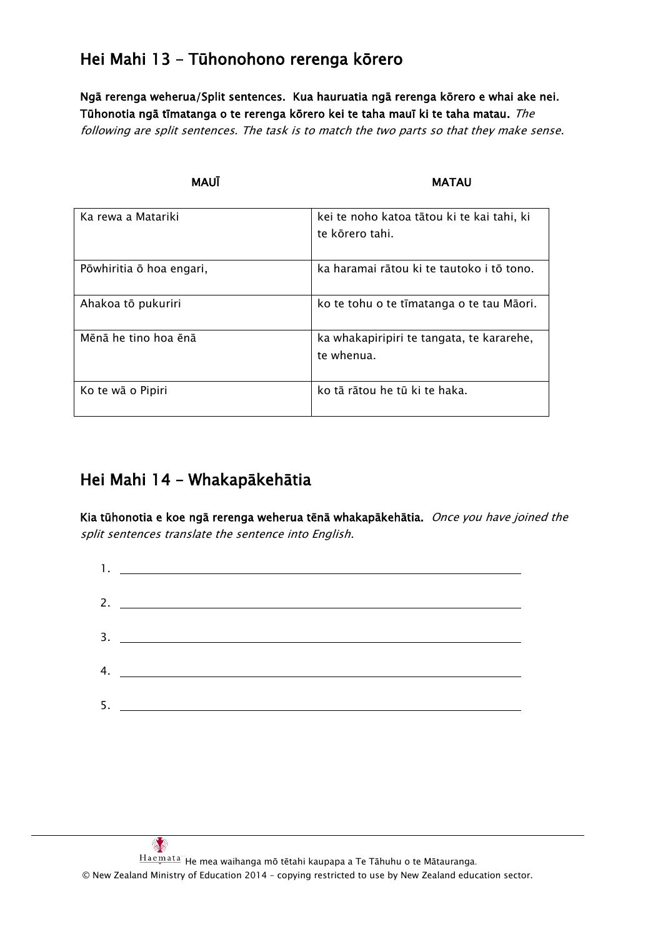# Hei Mahi 13 – Tūhonohono rerenga kōrero

Ngā rerenga weherua/Split sentences. Kua hauruatia ngā rerenga kōrero e whai ake nei. Tūhonotia ngā tīmatanga o te rerenga kōrero kei te taha mauī ki te taha matau. The following are split sentences. The task is to match the two parts so that they make sense.

MAUĪ **MATAU** 

| Ka rewa a Matariki       | kei te noho katoa tātou ki te kai tahi, ki<br>te kōrero tahi. |
|--------------------------|---------------------------------------------------------------|
| Pōwhiritia ō hoa engari, | ka haramai rātou ki te tautoko i tō tono.                     |
| Ahakoa tō pukuriri       | ko te tohu o te tīmatanga o te tau Māori.                     |
| Mēnā he tino hoa ēnā     | ka whakapiripiri te tangata, te kararehe,<br>te whenua.       |
| Ko te wā o Pipiri        | ko tā rātou he tū ki te haka.                                 |

# Hei Mahi 14 – Whakapākehātia

Kia tūhonotia e koe ngā rerenga weherua tēnā whakapākehātia. Once you have joined the split sentences translate the sentence into English.

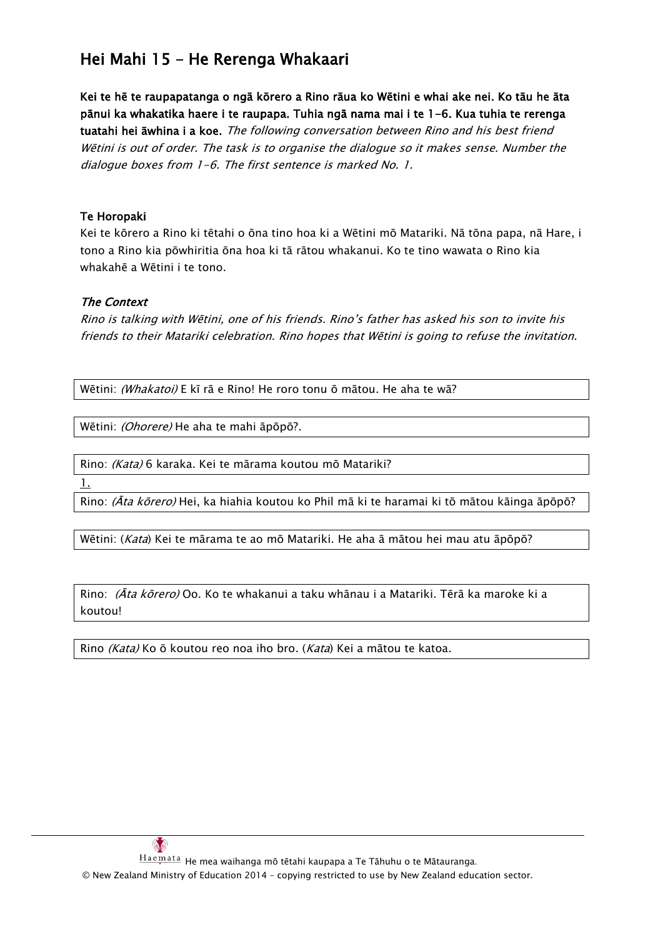# Hei Mahi 15 – He Rerenga Whakaari

Kei te hē te raupapatanga o ngā kōrero a Rino rāua ko Wētini e whai ake nei. Ko tāu he āta pānui ka whakatika haere i te raupapa. Tuhia ngā nama mai i te 1-6. Kua tuhia te rerenga tuatahi hei āwhina i a koe. The following conversation between Rino and his best friend Wētini is out of order. The task is to organise the dialogue so it makes sense. Number the dialogue boxes from 1-6. The first sentence is marked No. 1.

#### Te Horopaki

Kei te kōrero a Rino ki tētahi o ōna tino hoa ki a Wētini mō Matariki. Nā tōna papa, nā Hare, i tono a Rino kia pōwhiritia ōna hoa ki tā rātou whakanui. Ko te tino wawata o Rino kia whakahē a Wētini i te tono.

#### The Context

Rino is talking with Wētini, one of his friends. Rino's father has asked his son to invite his friends to their Matariki celebration. Rino hopes that Wētini is going to refuse the invitation.

Wētini: (Whakatoi) E kī rā e Rino! He roro tonu ō mātou. He aha te wā?

Wētini: (Ohorere) He aha te mahi āpōpō?.

Rino: (Kata) 6 karaka. Kei te mārama koutou mō Matariki?

1.

Rino: (Āta kōrero) Hei, ka hiahia koutou ko Phil mā ki te haramai ki tō mātou kāinga āpōpō?

Wētini: (Kata) Kei te mārama te ao mō Matariki. He aha ā mātou hei mau atu āpōpō?

Rino: *(Āta kōrero)* Oo. Ko te whakanui a taku whānau i a Matariki. Tērā ka maroke ki a koutou!

Rino (Kata) Ko ō koutou reo noa iho bro. (Kata) Kei a mātou te katoa.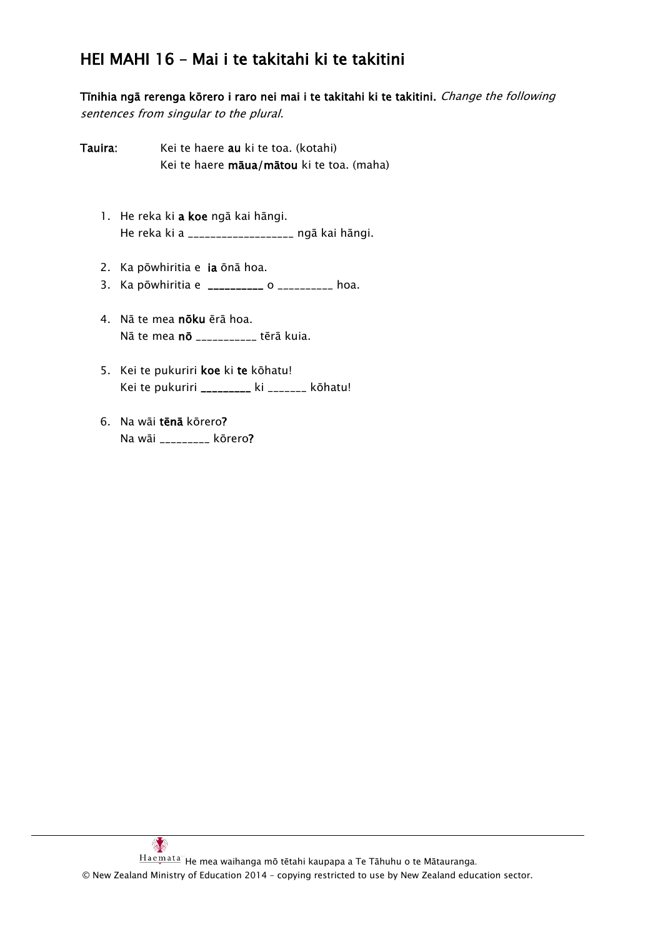# HEI MAHI 16 – Mai i te takitahi ki te takitini

Tīnihia ngā rerenga kōrero i raro nei mai i te takitahi ki te takitini. Change the following sentences from singular to the plural.

- Tauira: Kei te haere au ki te toa. (kotahi) Kei te haere māua/mātou ki te toa. (maha)
	- 1. He reka ki a koe ngā kai hāngi. He reka ki a \_\_\_\_\_\_\_\_\_\_\_\_\_\_\_\_\_\_\_ ngā kai hāngi.
	- 2. Ka pōwhiritia e ia ōnā hoa.
	- 3. Ka pōwhiritia e \_\_\_\_\_\_\_\_\_\_ o \_\_\_\_\_\_\_\_\_ hoa.
	- 4. Nā te mea nōku ērā hoa. Nā te mea **nō** \_\_\_\_\_\_\_\_\_\_\_ tērā kuia.
	- 5. Kei te pukuriri koe ki te kōhatu! Kei te pukuriri \_\_\_\_\_\_\_\_\_ ki \_\_\_\_\_\_\_ kōhatu!
	- 6. Na wāi tēnā kōrero? Na wāi \_\_\_\_\_\_\_\_\_ kōrero?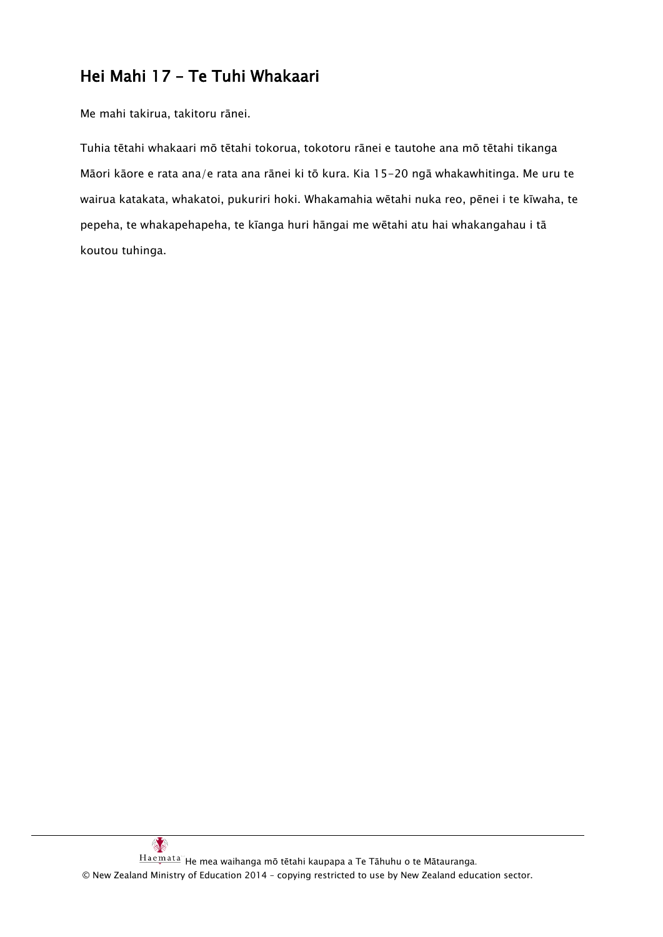# Hei Mahi 17 – Te Tuhi Whakaari

Me mahi takirua, takitoru rānei.

Tuhia tētahi whakaari mō tētahi tokorua, tokotoru rānei e tautohe ana mō tētahi tikanga Māori kāore e rata ana/e rata ana rānei ki tō kura. Kia 15-20 ngā whakawhitinga. Me uru te wairua katakata, whakatoi, pukuriri hoki. Whakamahia wētahi nuka reo, pēnei i te kīwaha, te pepeha, te whakapehapeha, te kīanga huri hāngai me wētahi atu hai whakangahau i tā koutou tuhinga.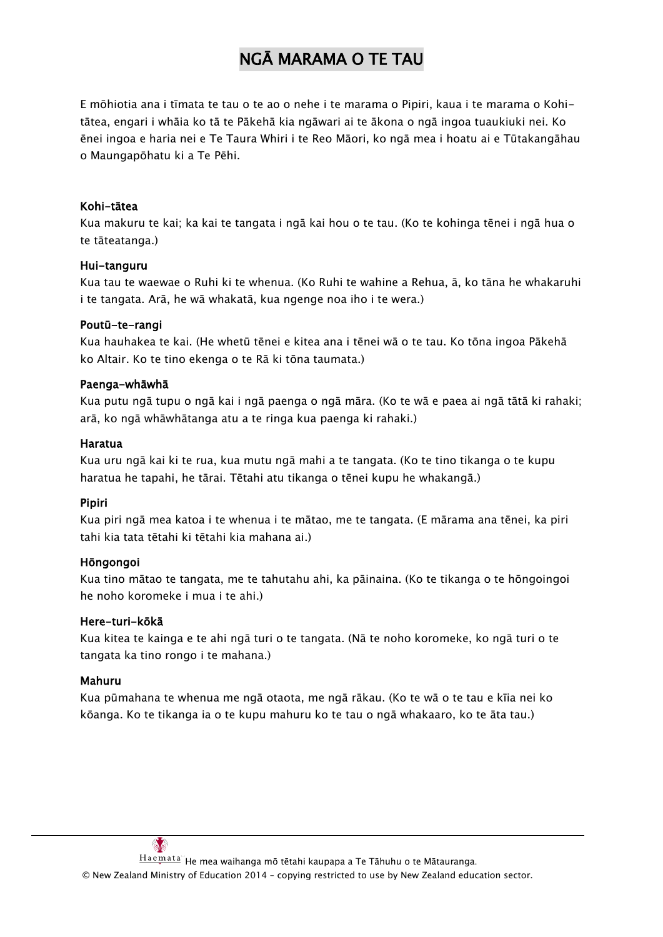# NGĀ MARAMA O TE TAU

E mōhiotia ana i tīmata te tau o te ao o nehe i te marama o Pipiri, kaua i te marama o Kohitātea, engari i whāia ko tā te Pākehā kia ngāwari ai te ākona o ngā ingoa tuaukiuki nei. Ko ēnei ingoa e haria nei e Te Taura Whiri i te Reo Māori, ko ngā mea i hoatu ai e Tūtakangāhau o Maungapōhatu ki a Te Pēhi.

#### Kohi-tātea

Kua makuru te kai; ka kai te tangata i ngā kai hou o te tau. (Ko te kohinga tēnei i ngā hua o te tāteatanga.)

#### Hui-tanguru

Kua tau te waewae o Ruhi ki te whenua. (Ko Ruhi te wahine a Rehua, ā, ko tāna he whakaruhi i te tangata. Arā, he wā whakatā, kua ngenge noa iho i te wera.)

#### Poutū-te-rangi

Kua hauhakea te kai. (He whetū tēnei e kitea ana i tēnei wā o te tau. Ko tōna ingoa Pākehā ko Altair. Ko te tino ekenga o te Rā ki tōna taumata.)

#### Paenga-whāwhā

Kua putu ngā tupu o ngā kai i ngā paenga o ngā māra. (Ko te wā e paea ai ngā tātā ki rahaki; arā, ko ngā whāwhātanga atu a te ringa kua paenga ki rahaki.)

#### Haratua

Kua uru ngā kai ki te rua, kua mutu ngā mahi a te tangata. (Ko te tino tikanga o te kupu haratua he tapahi, he tārai. Tētahi atu tikanga o tēnei kupu he whakangā.)

#### **Pipiri**

Kua piri ngā mea katoa i te whenua i te mātao, me te tangata. (E mārama ana tēnei, ka piri tahi kia tata tētahi ki tētahi kia mahana ai.)

#### Hōngongoi

Kua tino mātao te tangata, me te tahutahu ahi, ka pāinaina. (Ko te tikanga o te hōngoingoi he noho koromeke i mua i te ahi.)

#### Here-turi-kōkā

Kua kitea te kainga e te ahi ngā turi o te tangata. (Nā te noho koromeke, ko ngā turi o te tangata ka tino rongo i te mahana.)

#### Mahuru

Kua pūmahana te whenua me ngā otaota, me ngā rākau. (Ko te wā o te tau e kīia nei ko kōanga. Ko te tikanga ia o te kupu mahuru ko te tau o ngā whakaaro, ko te āta tau.)